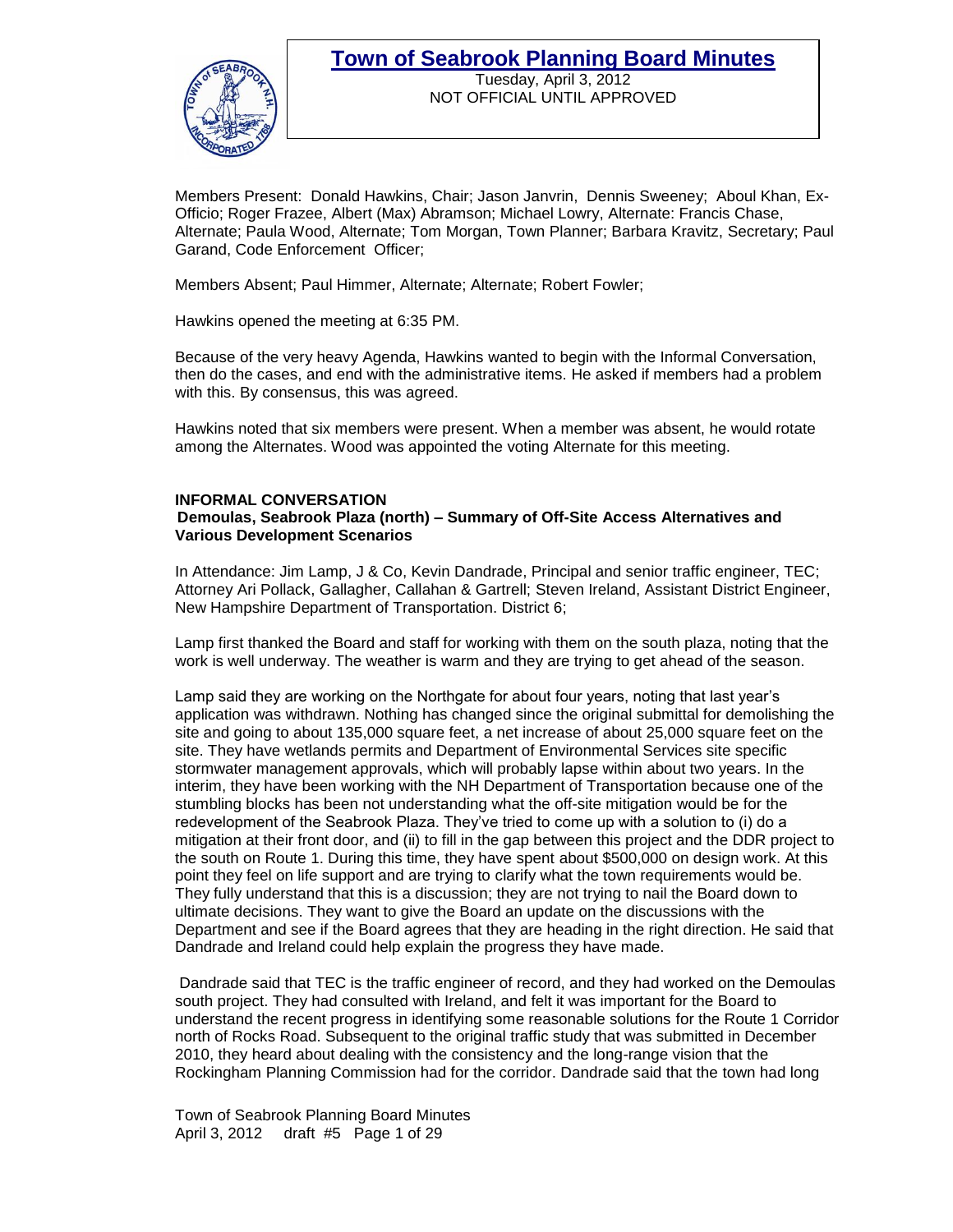

Tuesday, April 3, 2012 NOT OFFICIAL UNTIL APPROVED

Members Present: Donald Hawkins, Chair; Jason Janvrin, Dennis Sweeney; Aboul Khan, Ex-Officio; Roger Frazee, Albert (Max) Abramson; Michael Lowry, Alternate: Francis Chase, Alternate; Paula Wood, Alternate; Tom Morgan, Town Planner; Barbara Kravitz, Secretary; Paul Garand, Code Enforcement Officer;

Members Absent; Paul Himmer, Alternate; Alternate; Robert Fowler;

Hawkins opened the meeting at 6:35 PM.

Because of the very heavy Agenda, Hawkins wanted to begin with the Informal Conversation, then do the cases, and end with the administrative items. He asked if members had a problem with this. By consensus, this was agreed.

Hawkins noted that six members were present. When a member was absent, he would rotate among the Alternates. Wood was appointed the voting Alternate for this meeting.

#### **INFORMAL CONVERSATION Demoulas, Seabrook Plaza (north) – Summary of Off-Site Access Alternatives and Various Development Scenarios**

In Attendance: Jim Lamp, J & Co, Kevin Dandrade, Principal and senior traffic engineer, TEC; Attorney Ari Pollack, Gallagher, Callahan & Gartrell; Steven Ireland, Assistant District Engineer, New Hampshire Department of Transportation. District 6;

Lamp first thanked the Board and staff for working with them on the south plaza, noting that the work is well underway. The weather is warm and they are trying to get ahead of the season.

Lamp said they are working on the Northgate for about four years, noting that last year's application was withdrawn. Nothing has changed since the original submittal for demolishing the site and going to about 135,000 square feet, a net increase of about 25,000 square feet on the site. They have wetlands permits and Department of Environmental Services site specific stormwater management approvals, which will probably lapse within about two years. In the interim, they have been working with the NH Department of Transportation because one of the stumbling blocks has been not understanding what the off-site mitigation would be for the redevelopment of the Seabrook Plaza. They've tried to come up with a solution to (i) do a mitigation at their front door, and (ii) to fill in the gap between this project and the DDR project to the south on Route 1. During this time, they have spent about \$500,000 on design work. At this point they feel on life support and are trying to clarify what the town requirements would be. They fully understand that this is a discussion; they are not trying to nail the Board down to ultimate decisions. They want to give the Board an update on the discussions with the Department and see if the Board agrees that they are heading in the right direction. He said that Dandrade and Ireland could help explain the progress they have made.

Dandrade said that TEC is the traffic engineer of record, and they had worked on the Demoulas south project. They had consulted with Ireland, and felt it was important for the Board to understand the recent progress in identifying some reasonable solutions for the Route 1 Corridor north of Rocks Road. Subsequent to the original traffic study that was submitted in December 2010, they heard about dealing with the consistency and the long-range vision that the Rockingham Planning Commission had for the corridor. Dandrade said that the town had long

Town of Seabrook Planning Board Minutes April 3, 2012 draft #5 Page 1 of 29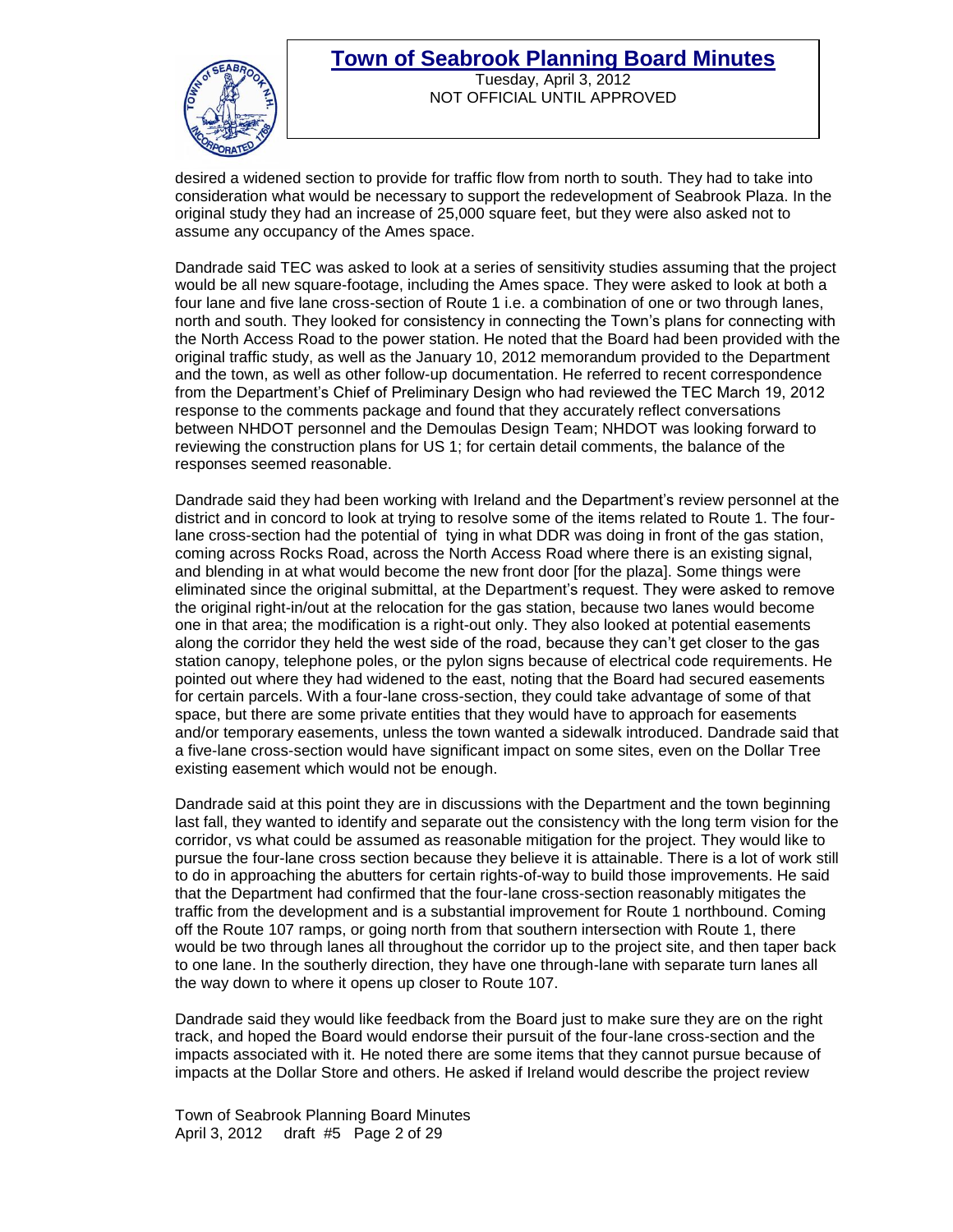

Tuesday, April 3, 2012 NOT OFFICIAL UNTIL APPROVED

desired a widened section to provide for traffic flow from north to south. They had to take into consideration what would be necessary to support the redevelopment of Seabrook Plaza. In the original study they had an increase of 25,000 square feet, but they were also asked not to assume any occupancy of the Ames space.

Dandrade said TEC was asked to look at a series of sensitivity studies assuming that the project would be all new square-footage, including the Ames space. They were asked to look at both a four lane and five lane cross-section of Route 1 i.e. a combination of one or two through lanes, north and south. They looked for consistency in connecting the Town's plans for connecting with the North Access Road to the power station. He noted that the Board had been provided with the original traffic study, as well as the January 10, 2012 memorandum provided to the Department and the town, as well as other follow-up documentation. He referred to recent correspondence from the Department's Chief of Preliminary Design who had reviewed the TEC March 19, 2012 response to the comments package and found that they accurately reflect conversations between NHDOT personnel and the Demoulas Design Team; NHDOT was looking forward to reviewing the construction plans for US 1; for certain detail comments, the balance of the responses seemed reasonable.

Dandrade said they had been working with Ireland and the Department's review personnel at the district and in concord to look at trying to resolve some of the items related to Route 1. The fourlane cross-section had the potential of tying in what DDR was doing in front of the gas station, coming across Rocks Road, across the North Access Road where there is an existing signal, and blending in at what would become the new front door [for the plaza]. Some things were eliminated since the original submittal, at the Department's request. They were asked to remove the original right-in/out at the relocation for the gas station, because two lanes would become one in that area; the modification is a right-out only. They also looked at potential easements along the corridor they held the west side of the road, because they can't get closer to the gas station canopy, telephone poles, or the pylon signs because of electrical code requirements. He pointed out where they had widened to the east, noting that the Board had secured easements for certain parcels. With a four-lane cross-section, they could take advantage of some of that space, but there are some private entities that they would have to approach for easements and/or temporary easements, unless the town wanted a sidewalk introduced. Dandrade said that a five-lane cross-section would have significant impact on some sites, even on the Dollar Tree existing easement which would not be enough.

Dandrade said at this point they are in discussions with the Department and the town beginning last fall, they wanted to identify and separate out the consistency with the long term vision for the corridor, vs what could be assumed as reasonable mitigation for the project. They would like to pursue the four-lane cross section because they believe it is attainable. There is a lot of work still to do in approaching the abutters for certain rights-of-way to build those improvements. He said that the Department had confirmed that the four-lane cross-section reasonably mitigates the traffic from the development and is a substantial improvement for Route 1 northbound. Coming off the Route 107 ramps, or going north from that southern intersection with Route 1, there would be two through lanes all throughout the corridor up to the project site, and then taper back to one lane. In the southerly direction, they have one through-lane with separate turn lanes all the way down to where it opens up closer to Route 107.

Dandrade said they would like feedback from the Board just to make sure they are on the right track, and hoped the Board would endorse their pursuit of the four-lane cross-section and the impacts associated with it. He noted there are some items that they cannot pursue because of impacts at the Dollar Store and others. He asked if Ireland would describe the project review

Town of Seabrook Planning Board Minutes April 3, 2012 draft #5 Page 2 of 29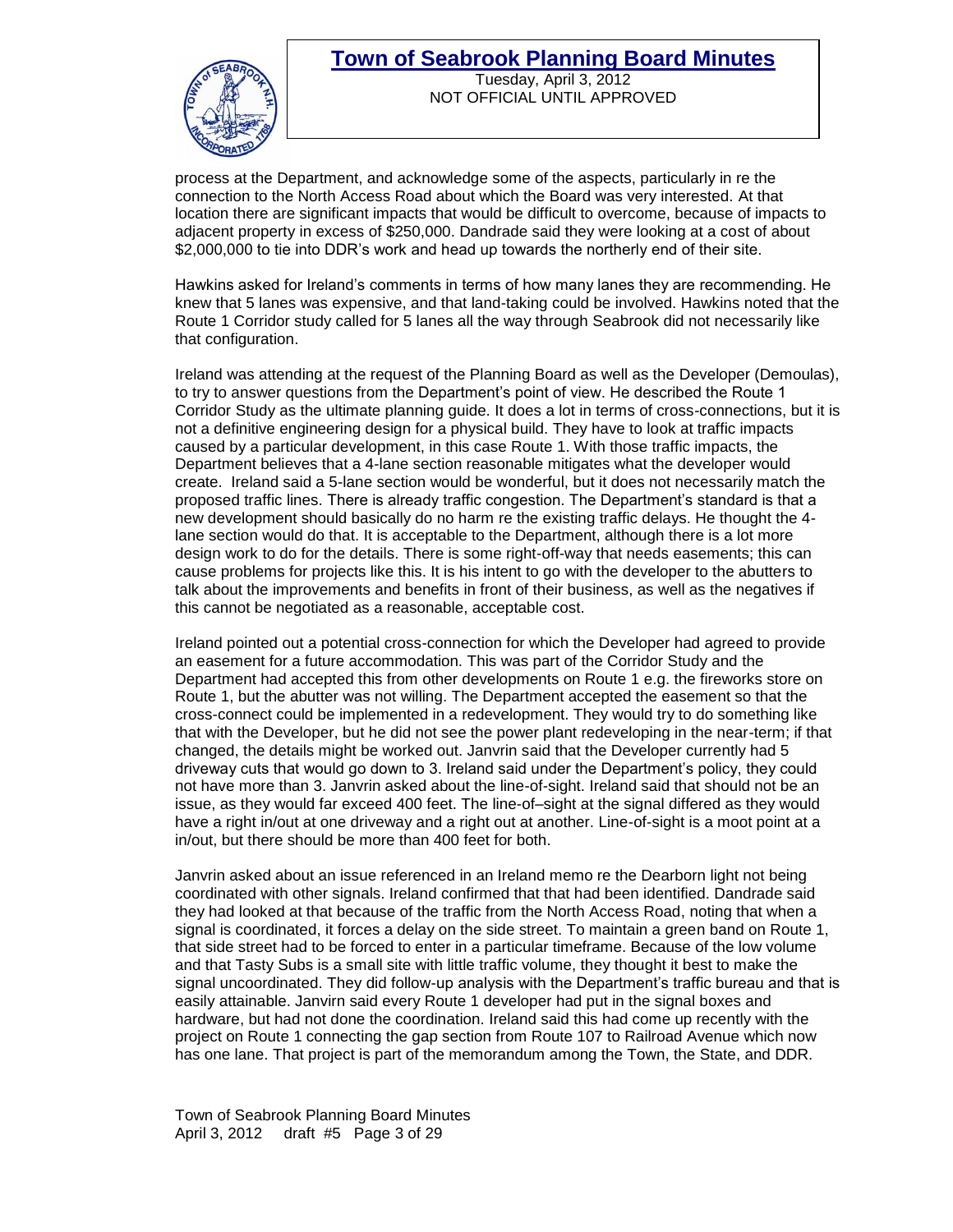

Tuesday, April 3, 2012 NOT OFFICIAL UNTIL APPROVED

process at the Department, and acknowledge some of the aspects, particularly in re the connection to the North Access Road about which the Board was very interested. At that location there are significant impacts that would be difficult to overcome, because of impacts to adjacent property in excess of \$250,000. Dandrade said they were looking at a cost of about \$2,000,000 to tie into DDR's work and head up towards the northerly end of their site.

Hawkins asked for Ireland's comments in terms of how many lanes they are recommending. He knew that 5 lanes was expensive, and that land-taking could be involved. Hawkins noted that the Route 1 Corridor study called for 5 lanes all the way through Seabrook did not necessarily like that configuration.

Ireland was attending at the request of the Planning Board as well as the Developer (Demoulas), to try to answer questions from the Department's point of view. He described the Route 1 Corridor Study as the ultimate planning guide. It does a lot in terms of cross-connections, but it is not a definitive engineering design for a physical build. They have to look at traffic impacts caused by a particular development, in this case Route 1. With those traffic impacts, the Department believes that a 4-lane section reasonable mitigates what the developer would create. Ireland said a 5-lane section would be wonderful, but it does not necessarily match the proposed traffic lines. There is already traffic congestion. The Department's standard is that a new development should basically do no harm re the existing traffic delays. He thought the 4 lane section would do that. It is acceptable to the Department, although there is a lot more design work to do for the details. There is some right-off-way that needs easements; this can cause problems for projects like this. It is his intent to go with the developer to the abutters to talk about the improvements and benefits in front of their business, as well as the negatives if this cannot be negotiated as a reasonable, acceptable cost.

Ireland pointed out a potential cross-connection for which the Developer had agreed to provide an easement for a future accommodation. This was part of the Corridor Study and the Department had accepted this from other developments on Route 1 e.g. the fireworks store on Route 1, but the abutter was not willing. The Department accepted the easement so that the cross-connect could be implemented in a redevelopment. They would try to do something like that with the Developer, but he did not see the power plant redeveloping in the near-term; if that changed, the details might be worked out. Janvrin said that the Developer currently had 5 driveway cuts that would go down to 3. Ireland said under the Department's policy, they could not have more than 3. Janvrin asked about the line-of-sight. Ireland said that should not be an issue, as they would far exceed 400 feet. The line-of–sight at the signal differed as they would have a right in/out at one driveway and a right out at another. Line-of-sight is a moot point at a in/out, but there should be more than 400 feet for both.

Janvrin asked about an issue referenced in an Ireland memo re the Dearborn light not being coordinated with other signals. Ireland confirmed that that had been identified. Dandrade said they had looked at that because of the traffic from the North Access Road, noting that when a signal is coordinated, it forces a delay on the side street. To maintain a green band on Route 1, that side street had to be forced to enter in a particular timeframe. Because of the low volume and that Tasty Subs is a small site with little traffic volume, they thought it best to make the signal uncoordinated. They did follow-up analysis with the Department's traffic bureau and that is easily attainable. Janvirn said every Route 1 developer had put in the signal boxes and hardware, but had not done the coordination. Ireland said this had come up recently with the project on Route 1 connecting the gap section from Route 107 to Railroad Avenue which now has one lane. That project is part of the memorandum among the Town, the State, and DDR.

Town of Seabrook Planning Board Minutes April 3, 2012 draft #5 Page 3 of 29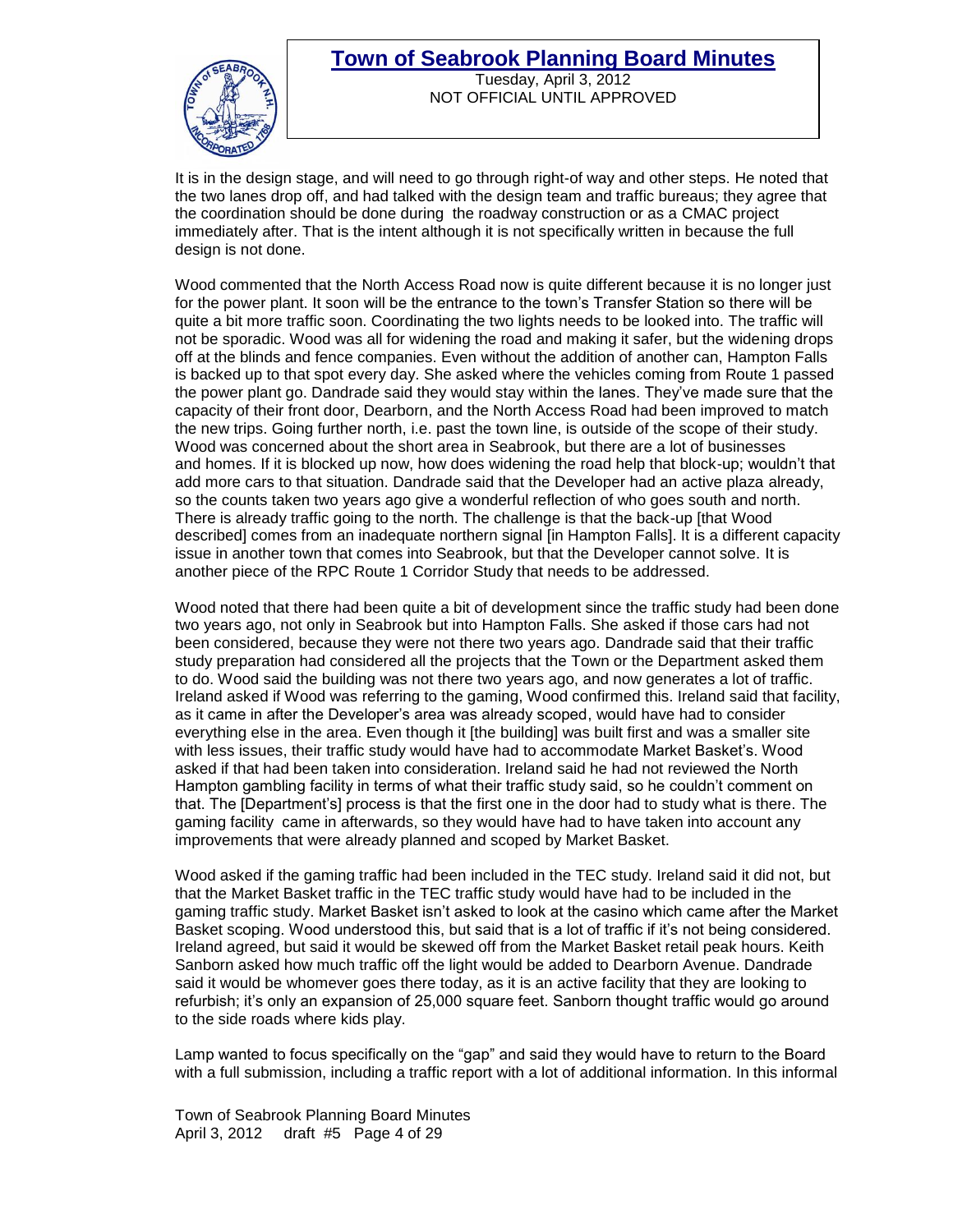

It is in the design stage, and will need to go through right-of way and other steps. He noted that the two lanes drop off, and had talked with the design team and traffic bureaus; they agree that the coordination should be done during the roadway construction or as a CMAC project immediately after. That is the intent although it is not specifically written in because the full design is not done.

Wood commented that the North Access Road now is quite different because it is no longer just for the power plant. It soon will be the entrance to the town's Transfer Station so there will be quite a bit more traffic soon. Coordinating the two lights needs to be looked into. The traffic will not be sporadic. Wood was all for widening the road and making it safer, but the widening drops off at the blinds and fence companies. Even without the addition of another can, Hampton Falls is backed up to that spot every day. She asked where the vehicles coming from Route 1 passed the power plant go. Dandrade said they would stay within the lanes. They've made sure that the capacity of their front door, Dearborn, and the North Access Road had been improved to match the new trips. Going further north, i.e. past the town line, is outside of the scope of their study. Wood was concerned about the short area in Seabrook, but there are a lot of businesses and homes. If it is blocked up now, how does widening the road help that block-up; wouldn't that add more cars to that situation. Dandrade said that the Developer had an active plaza already, so the counts taken two years ago give a wonderful reflection of who goes south and north. There is already traffic going to the north. The challenge is that the back-up [that Wood described] comes from an inadequate northern signal [in Hampton Falls]. It is a different capacity issue in another town that comes into Seabrook, but that the Developer cannot solve. It is another piece of the RPC Route 1 Corridor Study that needs to be addressed.

Wood noted that there had been quite a bit of development since the traffic study had been done two years ago, not only in Seabrook but into Hampton Falls. She asked if those cars had not been considered, because they were not there two years ago. Dandrade said that their traffic study preparation had considered all the projects that the Town or the Department asked them to do. Wood said the building was not there two years ago, and now generates a lot of traffic. Ireland asked if Wood was referring to the gaming, Wood confirmed this. Ireland said that facility, as it came in after the Developer's area was already scoped, would have had to consider everything else in the area. Even though it [the building] was built first and was a smaller site with less issues, their traffic study would have had to accommodate Market Basket's. Wood asked if that had been taken into consideration. Ireland said he had not reviewed the North Hampton gambling facility in terms of what their traffic study said, so he couldn't comment on that. The [Department's] process is that the first one in the door had to study what is there. The gaming facility came in afterwards, so they would have had to have taken into account any improvements that were already planned and scoped by Market Basket.

Wood asked if the gaming traffic had been included in the TEC study. Ireland said it did not, but that the Market Basket traffic in the TEC traffic study would have had to be included in the gaming traffic study. Market Basket isn't asked to look at the casino which came after the Market Basket scoping. Wood understood this, but said that is a lot of traffic if it's not being considered. Ireland agreed, but said it would be skewed off from the Market Basket retail peak hours. Keith Sanborn asked how much traffic off the light would be added to Dearborn Avenue. Dandrade said it would be whomever goes there today, as it is an active facility that they are looking to refurbish; it's only an expansion of 25,000 square feet. Sanborn thought traffic would go around to the side roads where kids play.

Lamp wanted to focus specifically on the "gap" and said they would have to return to the Board with a full submission, including a traffic report with a lot of additional information. In this informal

Town of Seabrook Planning Board Minutes April 3, 2012 draft #5 Page 4 of 29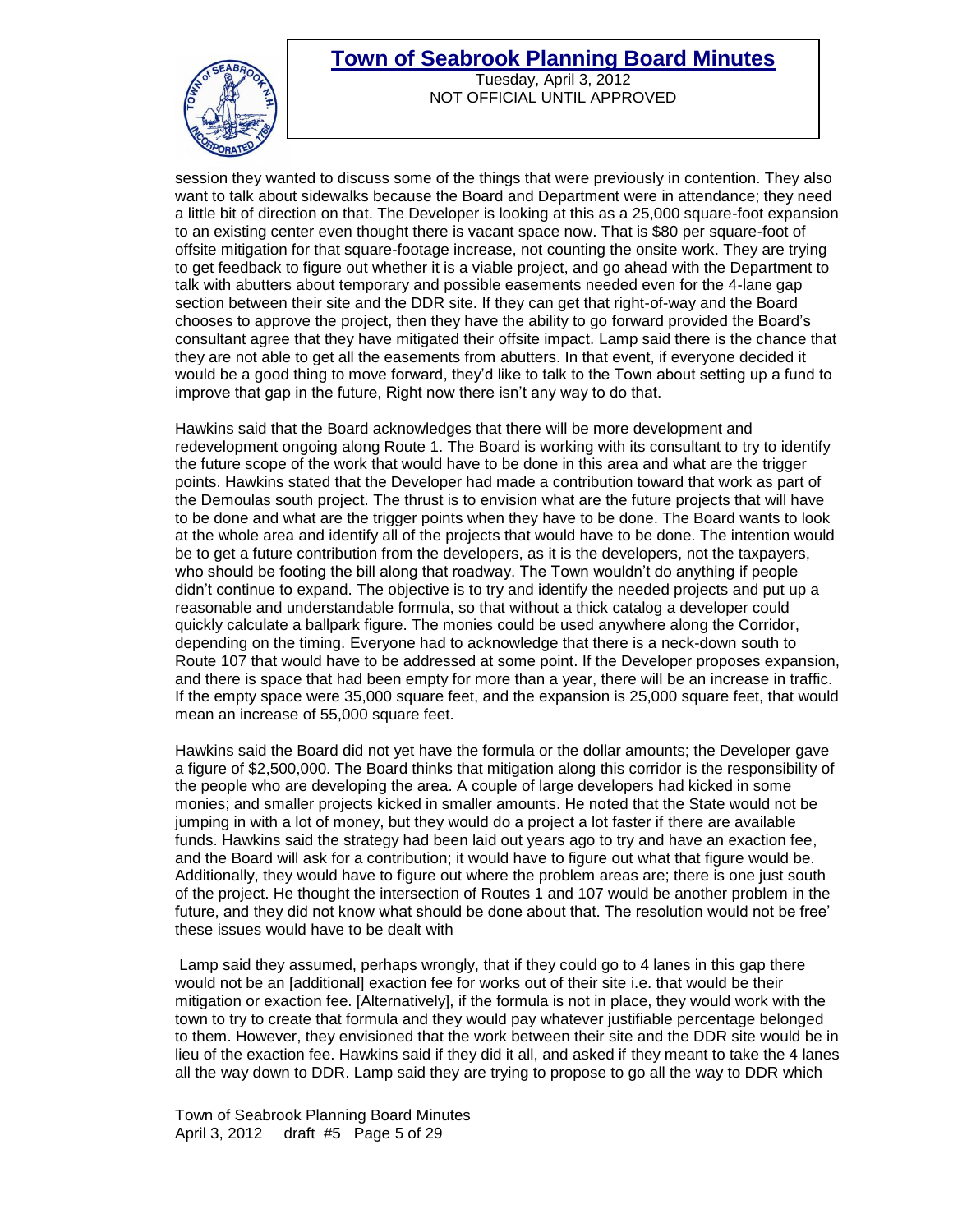

Tuesday, April 3, 2012 NOT OFFICIAL UNTIL APPROVED

session they wanted to discuss some of the things that were previously in contention. They also want to talk about sidewalks because the Board and Department were in attendance; they need a little bit of direction on that. The Developer is looking at this as a 25,000 square-foot expansion to an existing center even thought there is vacant space now. That is \$80 per square-foot of offsite mitigation for that square-footage increase, not counting the onsite work. They are trying to get feedback to figure out whether it is a viable project, and go ahead with the Department to talk with abutters about temporary and possible easements needed even for the 4-lane gap section between their site and the DDR site. If they can get that right-of-way and the Board chooses to approve the project, then they have the ability to go forward provided the Board's consultant agree that they have mitigated their offsite impact. Lamp said there is the chance that they are not able to get all the easements from abutters. In that event, if everyone decided it would be a good thing to move forward, they'd like to talk to the Town about setting up a fund to improve that gap in the future, Right now there isn't any way to do that.

Hawkins said that the Board acknowledges that there will be more development and redevelopment ongoing along Route 1. The Board is working with its consultant to try to identify the future scope of the work that would have to be done in this area and what are the trigger points. Hawkins stated that the Developer had made a contribution toward that work as part of the Demoulas south project. The thrust is to envision what are the future projects that will have to be done and what are the trigger points when they have to be done. The Board wants to look at the whole area and identify all of the projects that would have to be done. The intention would be to get a future contribution from the developers, as it is the developers, not the taxpayers, who should be footing the bill along that roadway. The Town wouldn't do anything if people didn't continue to expand. The objective is to try and identify the needed projects and put up a reasonable and understandable formula, so that without a thick catalog a developer could quickly calculate a ballpark figure. The monies could be used anywhere along the Corridor, depending on the timing. Everyone had to acknowledge that there is a neck-down south to Route 107 that would have to be addressed at some point. If the Developer proposes expansion, and there is space that had been empty for more than a year, there will be an increase in traffic. If the empty space were 35,000 square feet, and the expansion is 25,000 square feet, that would mean an increase of 55,000 square feet.

Hawkins said the Board did not yet have the formula or the dollar amounts; the Developer gave a figure of \$2,500,000. The Board thinks that mitigation along this corridor is the responsibility of the people who are developing the area. A couple of large developers had kicked in some monies; and smaller projects kicked in smaller amounts. He noted that the State would not be jumping in with a lot of money, but they would do a project a lot faster if there are available funds. Hawkins said the strategy had been laid out years ago to try and have an exaction fee, and the Board will ask for a contribution; it would have to figure out what that figure would be. Additionally, they would have to figure out where the problem areas are; there is one just south of the project. He thought the intersection of Routes 1 and 107 would be another problem in the future, and they did not know what should be done about that. The resolution would not be free' these issues would have to be dealt with

Lamp said they assumed, perhaps wrongly, that if they could go to 4 lanes in this gap there would not be an [additional] exaction fee for works out of their site i.e. that would be their mitigation or exaction fee. [Alternatively], if the formula is not in place, they would work with the town to try to create that formula and they would pay whatever justifiable percentage belonged to them. However, they envisioned that the work between their site and the DDR site would be in lieu of the exaction fee. Hawkins said if they did it all, and asked if they meant to take the 4 lanes all the way down to DDR. Lamp said they are trying to propose to go all the way to DDR which

Town of Seabrook Planning Board Minutes April 3, 2012 draft #5 Page 5 of 29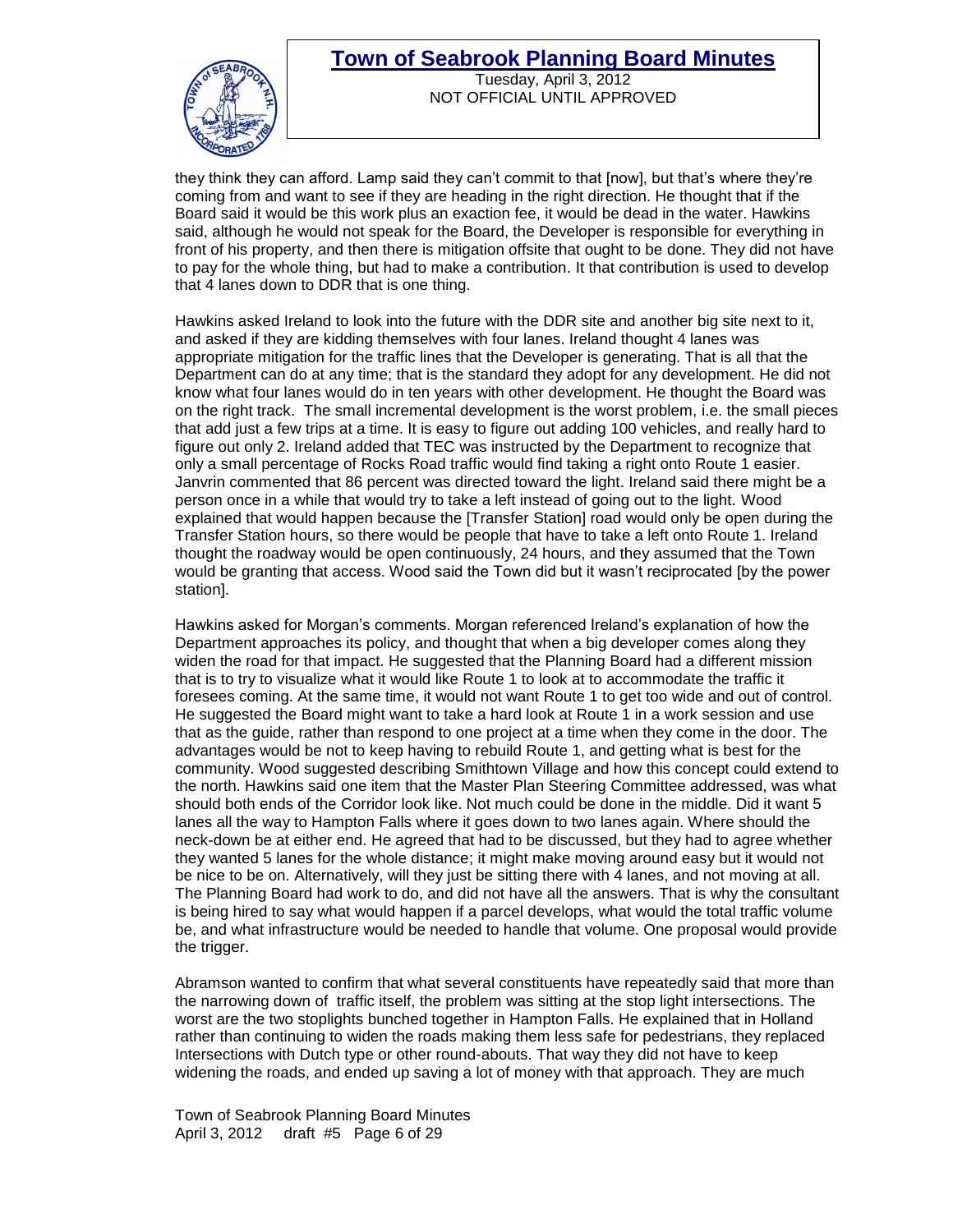

Tuesday, April 3, 2012 NOT OFFICIAL UNTIL APPROVED

they think they can afford. Lamp said they can't commit to that [now], but that's where they're coming from and want to see if they are heading in the right direction. He thought that if the Board said it would be this work plus an exaction fee, it would be dead in the water. Hawkins said, although he would not speak for the Board, the Developer is responsible for everything in front of his property, and then there is mitigation offsite that ought to be done. They did not have to pay for the whole thing, but had to make a contribution. It that contribution is used to develop that 4 lanes down to DDR that is one thing.

Hawkins asked Ireland to look into the future with the DDR site and another big site next to it, and asked if they are kidding themselves with four lanes. Ireland thought 4 lanes was appropriate mitigation for the traffic lines that the Developer is generating. That is all that the Department can do at any time; that is the standard they adopt for any development. He did not know what four lanes would do in ten years with other development. He thought the Board was on the right track. The small incremental development is the worst problem, i.e. the small pieces that add just a few trips at a time. It is easy to figure out adding 100 vehicles, and really hard to figure out only 2. Ireland added that TEC was instructed by the Department to recognize that only a small percentage of Rocks Road traffic would find taking a right onto Route 1 easier. Janvrin commented that 86 percent was directed toward the light. Ireland said there might be a person once in a while that would try to take a left instead of going out to the light. Wood explained that would happen because the [Transfer Station] road would only be open during the Transfer Station hours, so there would be people that have to take a left onto Route 1. Ireland thought the roadway would be open continuously, 24 hours, and they assumed that the Town would be granting that access. Wood said the Town did but it wasn't reciprocated [by the power station].

Hawkins asked for Morgan's comments. Morgan referenced Ireland's explanation of how the Department approaches its policy, and thought that when a big developer comes along they widen the road for that impact. He suggested that the Planning Board had a different mission that is to try to visualize what it would like Route 1 to look at to accommodate the traffic it foresees coming. At the same time, it would not want Route 1 to get too wide and out of control. He suggested the Board might want to take a hard look at Route 1 in a work session and use that as the guide, rather than respond to one project at a time when they come in the door. The advantages would be not to keep having to rebuild Route 1, and getting what is best for the community. Wood suggested describing Smithtown Village and how this concept could extend to the north. Hawkins said one item that the Master Plan Steering Committee addressed, was what should both ends of the Corridor look like. Not much could be done in the middle. Did it want 5 lanes all the way to Hampton Falls where it goes down to two lanes again. Where should the neck-down be at either end. He agreed that had to be discussed, but they had to agree whether they wanted 5 lanes for the whole distance; it might make moving around easy but it would not be nice to be on. Alternatively, will they just be sitting there with 4 lanes, and not moving at all. The Planning Board had work to do, and did not have all the answers. That is why the consultant is being hired to say what would happen if a parcel develops, what would the total traffic volume be, and what infrastructure would be needed to handle that volume. One proposal would provide the trigger.

Abramson wanted to confirm that what several constituents have repeatedly said that more than the narrowing down of traffic itself, the problem was sitting at the stop light intersections. The worst are the two stoplights bunched together in Hampton Falls. He explained that in Holland rather than continuing to widen the roads making them less safe for pedestrians, they replaced Intersections with Dutch type or other round-abouts. That way they did not have to keep widening the roads, and ended up saving a lot of money with that approach. They are much

Town of Seabrook Planning Board Minutes April 3, 2012 draft #5 Page 6 of 29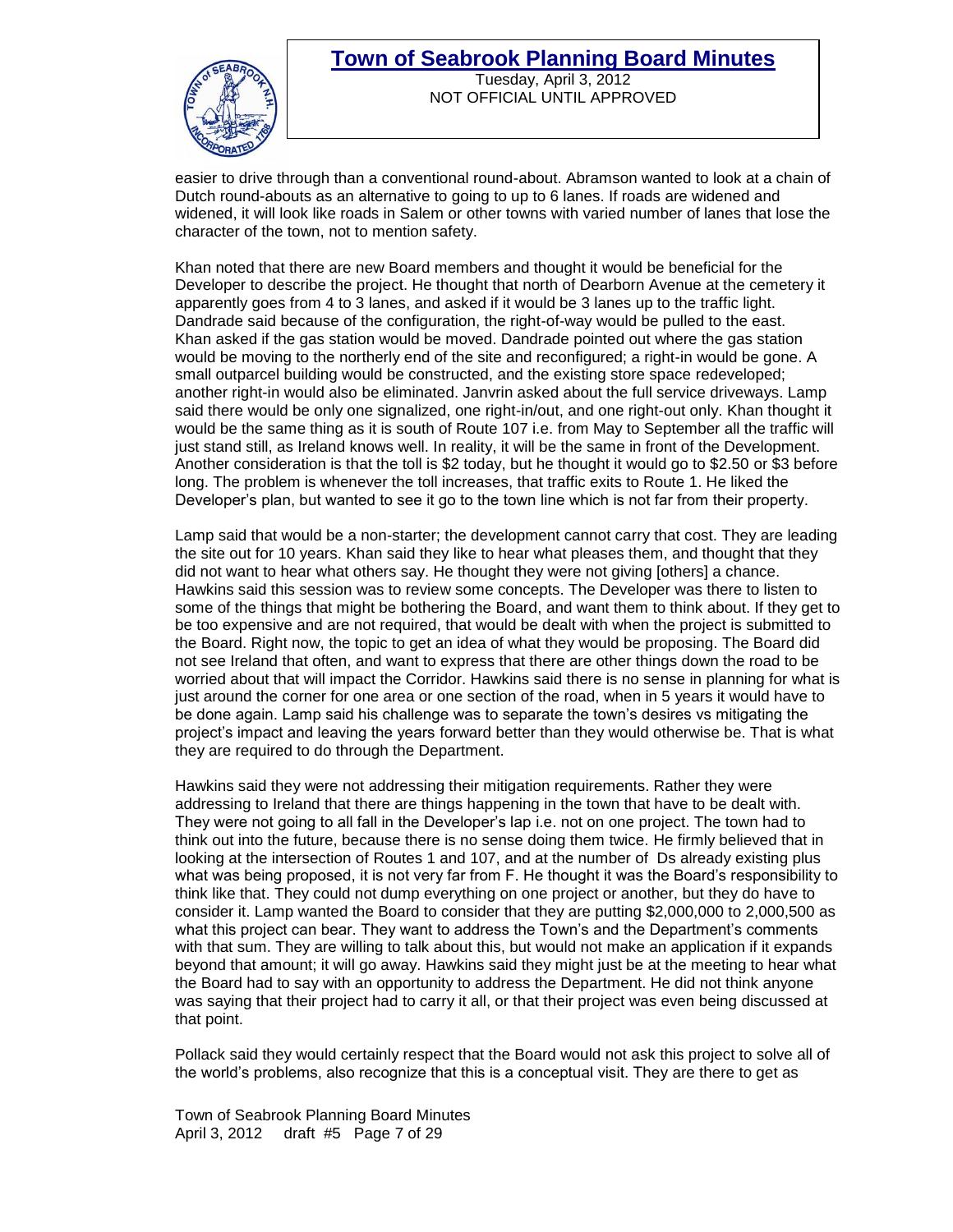#### **Town of Seabrook Planning Board Minutes** Tuesday, April 3, 2012



NOT OFFICIAL UNTIL APPROVED

easier to drive through than a conventional round-about. Abramson wanted to look at a chain of Dutch round-abouts as an alternative to going to up to 6 lanes. If roads are widened and widened, it will look like roads in Salem or other towns with varied number of lanes that lose the character of the town, not to mention safety.

Khan noted that there are new Board members and thought it would be beneficial for the Developer to describe the project. He thought that north of Dearborn Avenue at the cemetery it apparently goes from 4 to 3 lanes, and asked if it would be 3 lanes up to the traffic light. Dandrade said because of the configuration, the right-of-way would be pulled to the east. Khan asked if the gas station would be moved. Dandrade pointed out where the gas station would be moving to the northerly end of the site and reconfigured; a right-in would be gone. A small outparcel building would be constructed, and the existing store space redeveloped; another right-in would also be eliminated. Janvrin asked about the full service driveways. Lamp said there would be only one signalized, one right-in/out, and one right-out only. Khan thought it would be the same thing as it is south of Route 107 i.e. from May to September all the traffic will just stand still, as Ireland knows well. In reality, it will be the same in front of the Development. Another consideration is that the toll is \$2 today, but he thought it would go to \$2.50 or \$3 before long. The problem is whenever the toll increases, that traffic exits to Route 1. He liked the Developer's plan, but wanted to see it go to the town line which is not far from their property.

Lamp said that would be a non-starter; the development cannot carry that cost. They are leading the site out for 10 years. Khan said they like to hear what pleases them, and thought that they did not want to hear what others say. He thought they were not giving [others] a chance. Hawkins said this session was to review some concepts. The Developer was there to listen to some of the things that might be bothering the Board, and want them to think about. If they get to be too expensive and are not required, that would be dealt with when the project is submitted to the Board. Right now, the topic to get an idea of what they would be proposing. The Board did not see Ireland that often, and want to express that there are other things down the road to be worried about that will impact the Corridor. Hawkins said there is no sense in planning for what is just around the corner for one area or one section of the road, when in 5 years it would have to be done again. Lamp said his challenge was to separate the town's desires vs mitigating the project's impact and leaving the years forward better than they would otherwise be. That is what they are required to do through the Department.

Hawkins said they were not addressing their mitigation requirements. Rather they were addressing to Ireland that there are things happening in the town that have to be dealt with. They were not going to all fall in the Developer's lap i.e. not on one project. The town had to think out into the future, because there is no sense doing them twice. He firmly believed that in looking at the intersection of Routes 1 and 107, and at the number of Ds already existing plus what was being proposed, it is not very far from F. He thought it was the Board's responsibility to think like that. They could not dump everything on one project or another, but they do have to consider it. Lamp wanted the Board to consider that they are putting \$2,000,000 to 2,000,500 as what this project can bear. They want to address the Town's and the Department's comments with that sum. They are willing to talk about this, but would not make an application if it expands beyond that amount; it will go away. Hawkins said they might just be at the meeting to hear what the Board had to say with an opportunity to address the Department. He did not think anyone was saying that their project had to carry it all, or that their project was even being discussed at that point.

Pollack said they would certainly respect that the Board would not ask this project to solve all of the world's problems, also recognize that this is a conceptual visit. They are there to get as

Town of Seabrook Planning Board Minutes April 3, 2012 draft #5 Page 7 of 29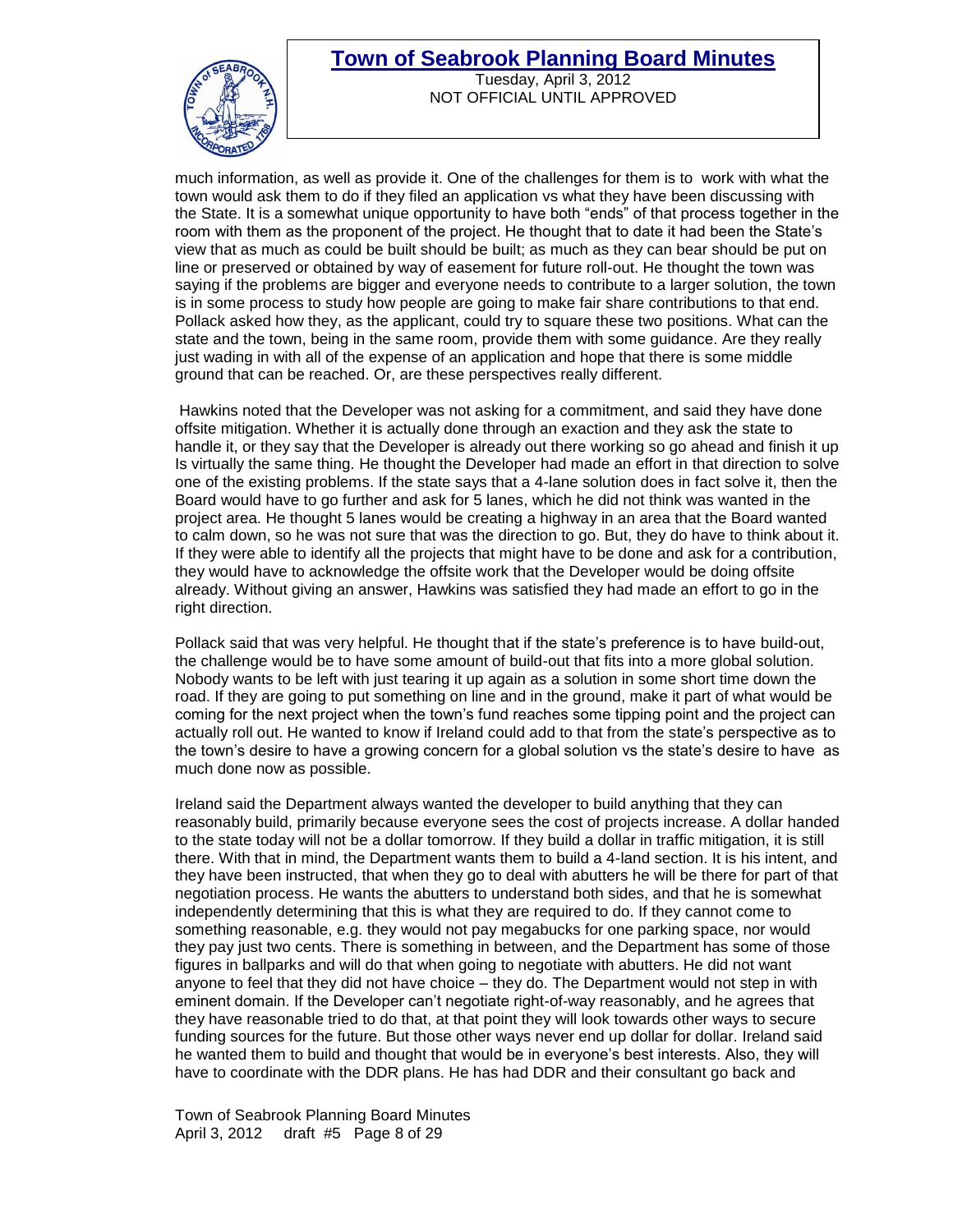

Tuesday, April 3, 2012 NOT OFFICIAL UNTIL APPROVED

much information, as well as provide it. One of the challenges for them is to work with what the town would ask them to do if they filed an application vs what they have been discussing with the State. It is a somewhat unique opportunity to have both "ends" of that process together in the room with them as the proponent of the project. He thought that to date it had been the State's view that as much as could be built should be built; as much as they can bear should be put on line or preserved or obtained by way of easement for future roll-out. He thought the town was saying if the problems are bigger and everyone needs to contribute to a larger solution, the town is in some process to study how people are going to make fair share contributions to that end. Pollack asked how they, as the applicant, could try to square these two positions. What can the state and the town, being in the same room, provide them with some guidance. Are they really just wading in with all of the expense of an application and hope that there is some middle ground that can be reached. Or, are these perspectives really different.

Hawkins noted that the Developer was not asking for a commitment, and said they have done offsite mitigation. Whether it is actually done through an exaction and they ask the state to handle it, or they say that the Developer is already out there working so go ahead and finish it up Is virtually the same thing. He thought the Developer had made an effort in that direction to solve one of the existing problems. If the state says that a 4-lane solution does in fact solve it, then the Board would have to go further and ask for 5 lanes, which he did not think was wanted in the project area. He thought 5 lanes would be creating a highway in an area that the Board wanted to calm down, so he was not sure that was the direction to go. But, they do have to think about it. If they were able to identify all the projects that might have to be done and ask for a contribution, they would have to acknowledge the offsite work that the Developer would be doing offsite already. Without giving an answer, Hawkins was satisfied they had made an effort to go in the right direction.

Pollack said that was very helpful. He thought that if the state's preference is to have build-out, the challenge would be to have some amount of build-out that fits into a more global solution. Nobody wants to be left with just tearing it up again as a solution in some short time down the road. If they are going to put something on line and in the ground, make it part of what would be coming for the next project when the town's fund reaches some tipping point and the project can actually roll out. He wanted to know if Ireland could add to that from the state's perspective as to the town's desire to have a growing concern for a global solution vs the state's desire to have as much done now as possible.

Ireland said the Department always wanted the developer to build anything that they can reasonably build, primarily because everyone sees the cost of projects increase. A dollar handed to the state today will not be a dollar tomorrow. If they build a dollar in traffic mitigation, it is still there. With that in mind, the Department wants them to build a 4-land section. It is his intent, and they have been instructed, that when they go to deal with abutters he will be there for part of that negotiation process. He wants the abutters to understand both sides, and that he is somewhat independently determining that this is what they are required to do. If they cannot come to something reasonable, e.g. they would not pay megabucks for one parking space, nor would they pay just two cents. There is something in between, and the Department has some of those figures in ballparks and will do that when going to negotiate with abutters. He did not want anyone to feel that they did not have choice – they do. The Department would not step in with eminent domain. If the Developer can't negotiate right-of-way reasonably, and he agrees that they have reasonable tried to do that, at that point they will look towards other ways to secure funding sources for the future. But those other ways never end up dollar for dollar. Ireland said he wanted them to build and thought that would be in everyone's best interests. Also, they will have to coordinate with the DDR plans. He has had DDR and their consultant go back and

Town of Seabrook Planning Board Minutes April 3, 2012 draft #5 Page 8 of 29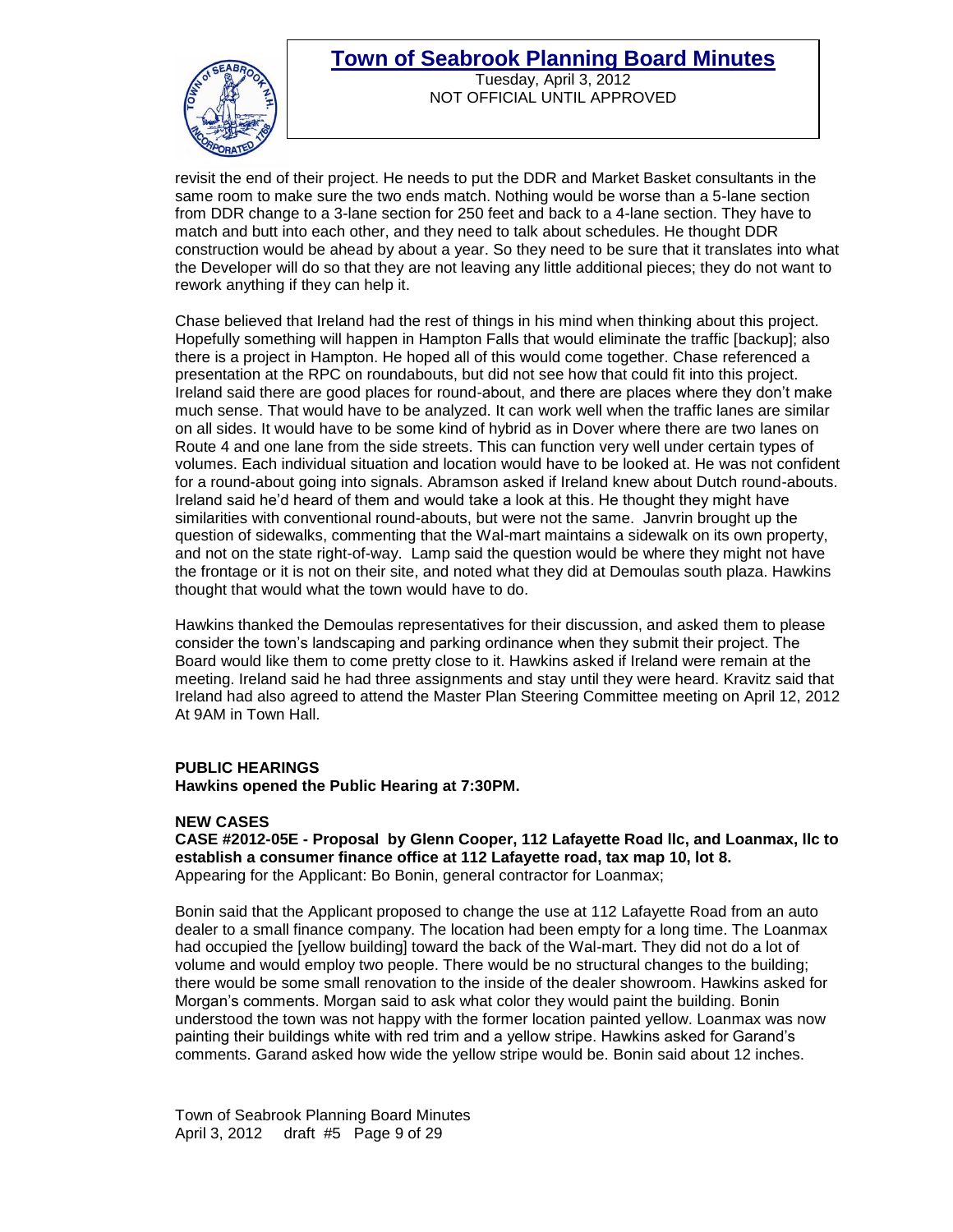

Tuesday, April 3, 2012 NOT OFFICIAL UNTIL APPROVED

revisit the end of their project. He needs to put the DDR and Market Basket consultants in the same room to make sure the two ends match. Nothing would be worse than a 5-lane section from DDR change to a 3-lane section for 250 feet and back to a 4-lane section. They have to match and butt into each other, and they need to talk about schedules. He thought DDR construction would be ahead by about a year. So they need to be sure that it translates into what the Developer will do so that they are not leaving any little additional pieces; they do not want to rework anything if they can help it.

Chase believed that Ireland had the rest of things in his mind when thinking about this project. Hopefully something will happen in Hampton Falls that would eliminate the traffic [backup]; also there is a project in Hampton. He hoped all of this would come together. Chase referenced a presentation at the RPC on roundabouts, but did not see how that could fit into this project. Ireland said there are good places for round-about, and there are places where they don't make much sense. That would have to be analyzed. It can work well when the traffic lanes are similar on all sides. It would have to be some kind of hybrid as in Dover where there are two lanes on Route 4 and one lane from the side streets. This can function very well under certain types of volumes. Each individual situation and location would have to be looked at. He was not confident for a round-about going into signals. Abramson asked if Ireland knew about Dutch round-abouts. Ireland said he'd heard of them and would take a look at this. He thought they might have similarities with conventional round-abouts, but were not the same. Janvrin brought up the question of sidewalks, commenting that the Wal-mart maintains a sidewalk on its own property, and not on the state right-of-way. Lamp said the question would be where they might not have the frontage or it is not on their site, and noted what they did at Demoulas south plaza. Hawkins thought that would what the town would have to do.

Hawkins thanked the Demoulas representatives for their discussion, and asked them to please consider the town's landscaping and parking ordinance when they submit their project. The Board would like them to come pretty close to it. Hawkins asked if Ireland were remain at the meeting. Ireland said he had three assignments and stay until they were heard. Kravitz said that Ireland had also agreed to attend the Master Plan Steering Committee meeting on April 12, 2012 At 9AM in Town Hall.

#### **PUBLIC HEARINGS**

**Hawkins opened the Public Hearing at 7:30PM.**

#### **NEW CASES**

 **CASE #2012-05E - Proposal by Glenn Cooper, 112 Lafayette Road llc, and Loanmax, llc to establish a consumer finance office at 112 Lafayette road, tax map 10, lot 8.** Appearing for the Applicant: Bo Bonin, general contractor for Loanmax;

Bonin said that the Applicant proposed to change the use at 112 Lafayette Road from an auto dealer to a small finance company. The location had been empty for a long time. The Loanmax had occupied the [yellow building] toward the back of the Wal-mart. They did not do a lot of volume and would employ two people. There would be no structural changes to the building; there would be some small renovation to the inside of the dealer showroom. Hawkins asked for Morgan's comments. Morgan said to ask what color they would paint the building. Bonin understood the town was not happy with the former location painted yellow. Loanmax was now painting their buildings white with red trim and a yellow stripe. Hawkins asked for Garand's comments. Garand asked how wide the yellow stripe would be. Bonin said about 12 inches.

Town of Seabrook Planning Board Minutes April 3, 2012 draft #5 Page 9 of 29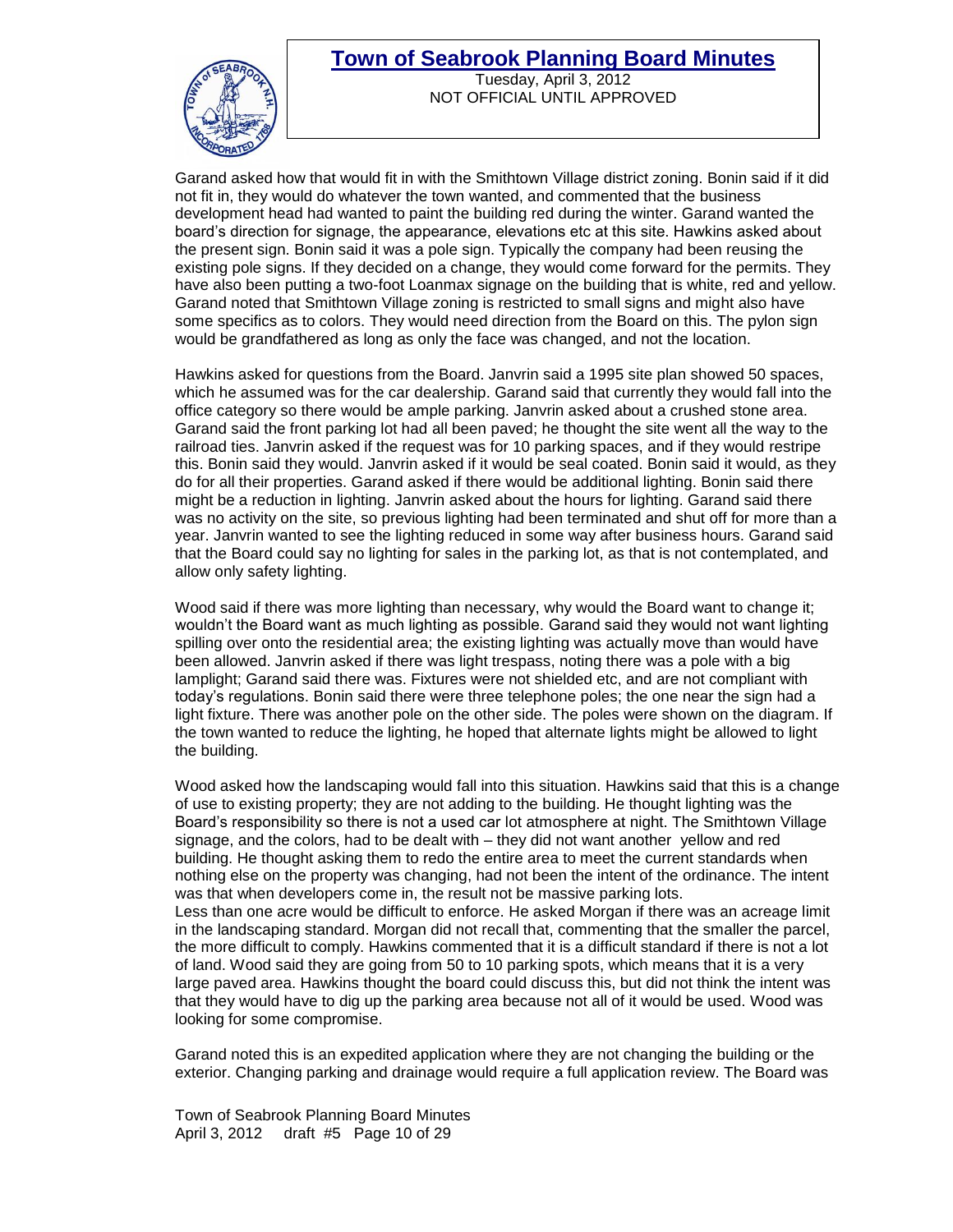

Tuesday, April 3, 2012 NOT OFFICIAL UNTIL APPROVED

Garand asked how that would fit in with the Smithtown Village district zoning. Bonin said if it did not fit in, they would do whatever the town wanted, and commented that the business development head had wanted to paint the building red during the winter. Garand wanted the board's direction for signage, the appearance, elevations etc at this site. Hawkins asked about the present sign. Bonin said it was a pole sign. Typically the company had been reusing the existing pole signs. If they decided on a change, they would come forward for the permits. They have also been putting a two-foot Loanmax signage on the building that is white, red and yellow. Garand noted that Smithtown Village zoning is restricted to small signs and might also have some specifics as to colors. They would need direction from the Board on this. The pylon sign would be grandfathered as long as only the face was changed, and not the location.

Hawkins asked for questions from the Board. Janvrin said a 1995 site plan showed 50 spaces, which he assumed was for the car dealership. Garand said that currently they would fall into the office category so there would be ample parking. Janvrin asked about a crushed stone area. Garand said the front parking lot had all been paved; he thought the site went all the way to the railroad ties. Janvrin asked if the request was for 10 parking spaces, and if they would restripe this. Bonin said they would. Janvrin asked if it would be seal coated. Bonin said it would, as they do for all their properties. Garand asked if there would be additional lighting. Bonin said there might be a reduction in lighting. Janvrin asked about the hours for lighting. Garand said there was no activity on the site, so previous lighting had been terminated and shut off for more than a year. Janvrin wanted to see the lighting reduced in some way after business hours. Garand said that the Board could say no lighting for sales in the parking lot, as that is not contemplated, and allow only safety lighting.

Wood said if there was more lighting than necessary, why would the Board want to change it; wouldn't the Board want as much lighting as possible. Garand said they would not want lighting spilling over onto the residential area; the existing lighting was actually move than would have been allowed. Janvrin asked if there was light trespass, noting there was a pole with a big lamplight; Garand said there was. Fixtures were not shielded etc, and are not compliant with today's regulations. Bonin said there were three telephone poles; the one near the sign had a light fixture. There was another pole on the other side. The poles were shown on the diagram. If the town wanted to reduce the lighting, he hoped that alternate lights might be allowed to light the building.

Wood asked how the landscaping would fall into this situation. Hawkins said that this is a change of use to existing property; they are not adding to the building. He thought lighting was the Board's responsibility so there is not a used car lot atmosphere at night. The Smithtown Village signage, and the colors, had to be dealt with – they did not want another yellow and red building. He thought asking them to redo the entire area to meet the current standards when nothing else on the property was changing, had not been the intent of the ordinance. The intent was that when developers come in, the result not be massive parking lots. Less than one acre would be difficult to enforce. He asked Morgan if there was an acreage limit in the landscaping standard. Morgan did not recall that, commenting that the smaller the parcel, the more difficult to comply. Hawkins commented that it is a difficult standard if there is not a lot of land. Wood said they are going from 50 to 10 parking spots, which means that it is a very large paved area. Hawkins thought the board could discuss this, but did not think the intent was that they would have to dig up the parking area because not all of it would be used. Wood was looking for some compromise.

Garand noted this is an expedited application where they are not changing the building or the exterior. Changing parking and drainage would require a full application review. The Board was

Town of Seabrook Planning Board Minutes April 3, 2012 draft #5 Page 10 of 29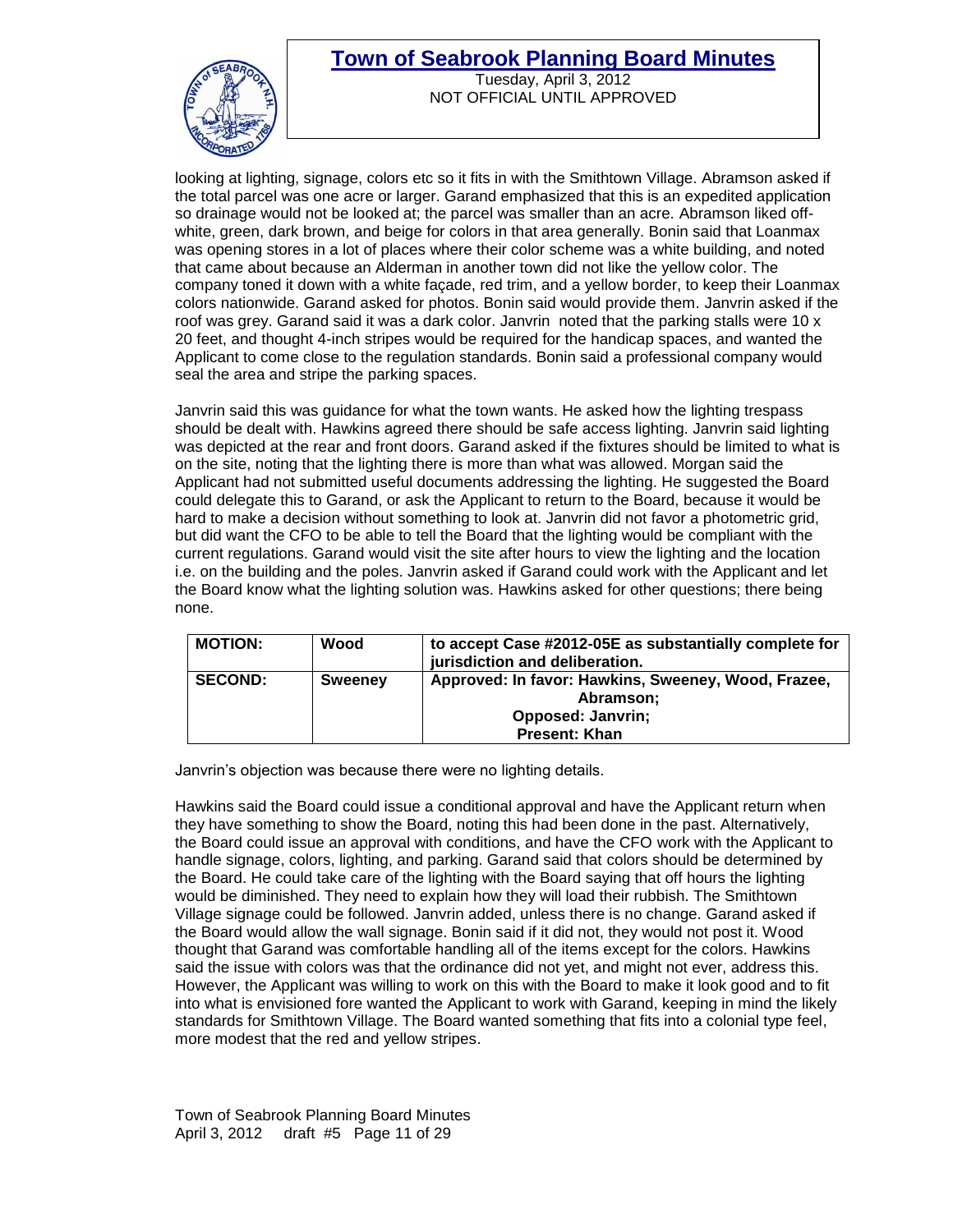

Tuesday, April 3, 2012 NOT OFFICIAL UNTIL APPROVED

looking at lighting, signage, colors etc so it fits in with the Smithtown Village. Abramson asked if the total parcel was one acre or larger. Garand emphasized that this is an expedited application so drainage would not be looked at; the parcel was smaller than an acre. Abramson liked offwhite, green, dark brown, and beige for colors in that area generally. Bonin said that Loanmax was opening stores in a lot of places where their color scheme was a white building, and noted that came about because an Alderman in another town did not like the yellow color. The company toned it down with a white façade, red trim, and a yellow border, to keep their Loanmax colors nationwide. Garand asked for photos. Bonin said would provide them. Janvrin asked if the roof was grey. Garand said it was a dark color. Janvrin noted that the parking stalls were 10 x 20 feet, and thought 4-inch stripes would be required for the handicap spaces, and wanted the Applicant to come close to the regulation standards. Bonin said a professional company would seal the area and stripe the parking spaces.

Janvrin said this was guidance for what the town wants. He asked how the lighting trespass should be dealt with. Hawkins agreed there should be safe access lighting. Janvrin said lighting was depicted at the rear and front doors. Garand asked if the fixtures should be limited to what is on the site, noting that the lighting there is more than what was allowed. Morgan said the Applicant had not submitted useful documents addressing the lighting. He suggested the Board could delegate this to Garand, or ask the Applicant to return to the Board, because it would be hard to make a decision without something to look at. Janvrin did not favor a photometric grid, but did want the CFO to be able to tell the Board that the lighting would be compliant with the current regulations. Garand would visit the site after hours to view the lighting and the location i.e. on the building and the poles. Janvrin asked if Garand could work with the Applicant and let the Board know what the lighting solution was. Hawkins asked for other questions; there being none.

| <b>MOTION:</b> | Wood           | to accept Case #2012-05E as substantially complete for<br>jurisdiction and deliberation. |
|----------------|----------------|------------------------------------------------------------------------------------------|
| <b>SECOND:</b> | <b>Sweeney</b> | Approved: In favor: Hawkins, Sweeney, Wood, Frazee,<br>Abramson;                         |
|                |                | <b>Opposed: Janvrin;</b>                                                                 |
|                |                | <b>Present: Khan</b>                                                                     |

Janvrin's objection was because there were no lighting details.

Hawkins said the Board could issue a conditional approval and have the Applicant return when they have something to show the Board, noting this had been done in the past. Alternatively, the Board could issue an approval with conditions, and have the CFO work with the Applicant to handle signage, colors, lighting, and parking. Garand said that colors should be determined by the Board. He could take care of the lighting with the Board saying that off hours the lighting would be diminished. They need to explain how they will load their rubbish. The Smithtown Village signage could be followed. Janvrin added, unless there is no change. Garand asked if the Board would allow the wall signage. Bonin said if it did not, they would not post it. Wood thought that Garand was comfortable handling all of the items except for the colors. Hawkins said the issue with colors was that the ordinance did not yet, and might not ever, address this. However, the Applicant was willing to work on this with the Board to make it look good and to fit into what is envisioned fore wanted the Applicant to work with Garand, keeping in mind the likely standards for Smithtown Village. The Board wanted something that fits into a colonial type feel, more modest that the red and yellow stripes.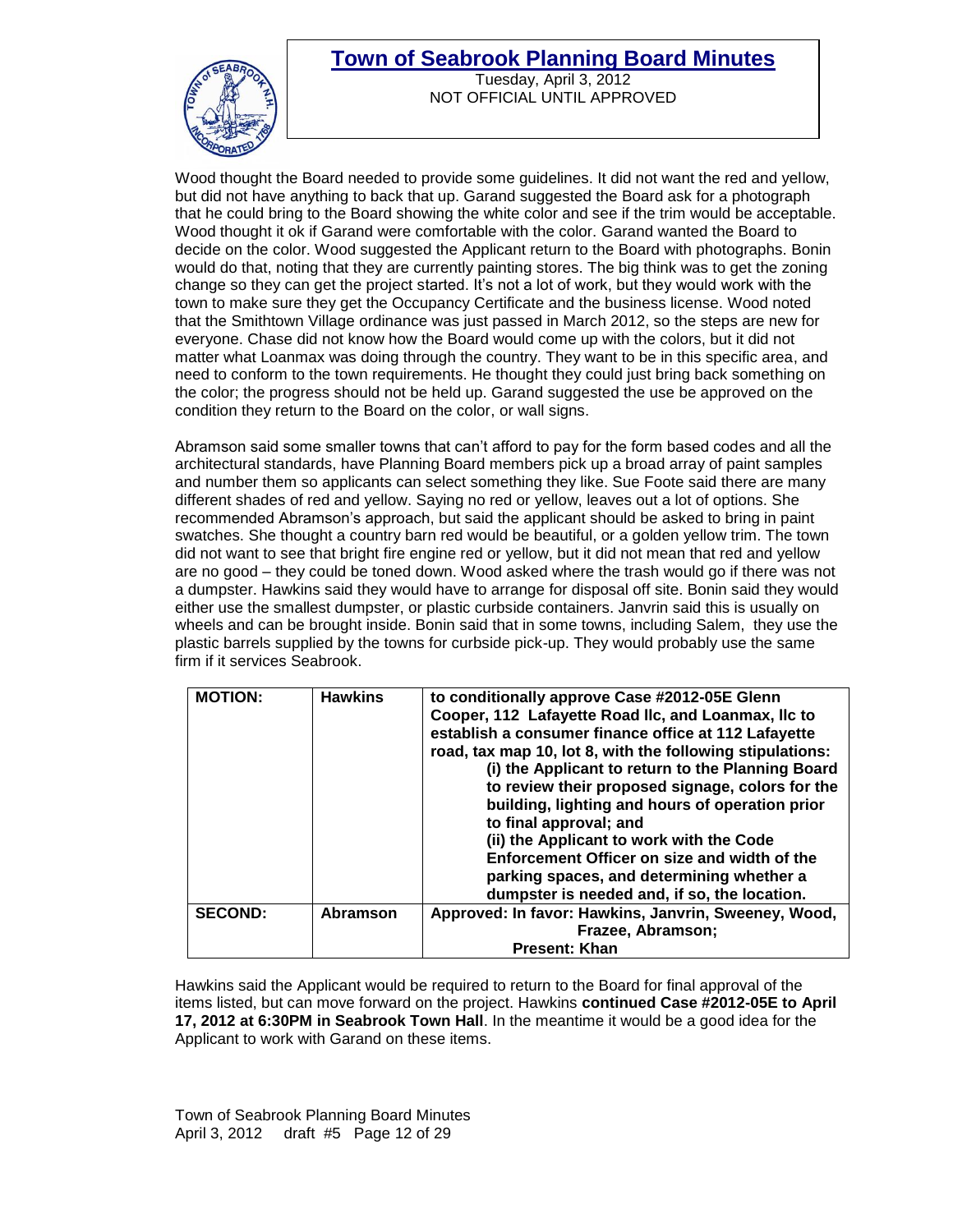

Tuesday, April 3, 2012 NOT OFFICIAL UNTIL APPROVED

Wood thought the Board needed to provide some guidelines. It did not want the red and yellow, but did not have anything to back that up. Garand suggested the Board ask for a photograph that he could bring to the Board showing the white color and see if the trim would be acceptable. Wood thought it ok if Garand were comfortable with the color. Garand wanted the Board to decide on the color. Wood suggested the Applicant return to the Board with photographs. Bonin would do that, noting that they are currently painting stores. The big think was to get the zoning change so they can get the project started. It's not a lot of work, but they would work with the town to make sure they get the Occupancy Certificate and the business license. Wood noted that the Smithtown Village ordinance was just passed in March 2012, so the steps are new for everyone. Chase did not know how the Board would come up with the colors, but it did not matter what Loanmax was doing through the country. They want to be in this specific area, and need to conform to the town requirements. He thought they could just bring back something on the color; the progress should not be held up. Garand suggested the use be approved on the condition they return to the Board on the color, or wall signs.

Abramson said some smaller towns that can't afford to pay for the form based codes and all the architectural standards, have Planning Board members pick up a broad array of paint samples and number them so applicants can select something they like. Sue Foote said there are many different shades of red and yellow. Saying no red or yellow, leaves out a lot of options. She recommended Abramson's approach, but said the applicant should be asked to bring in paint swatches. She thought a country barn red would be beautiful, or a golden yellow trim. The town did not want to see that bright fire engine red or yellow, but it did not mean that red and yellow are no good – they could be toned down. Wood asked where the trash would go if there was not a dumpster. Hawkins said they would have to arrange for disposal off site. Bonin said they would either use the smallest dumpster, or plastic curbside containers. Janvrin said this is usually on wheels and can be brought inside. Bonin said that in some towns, including Salem, they use the plastic barrels supplied by the towns for curbside pick-up. They would probably use the same firm if it services Seabrook.

| <b>MOTION:</b> | <b>Hawkins</b>  | to conditionally approve Case #2012-05E Glenn<br>Cooper, 112 Lafayette Road IIc, and Loanmax, IIc to<br>establish a consumer finance office at 112 Lafayette<br>road, tax map 10, lot 8, with the following stipulations:<br>(i) the Applicant to return to the Planning Board<br>to review their proposed signage, colors for the<br>building, lighting and hours of operation prior<br>to final approval; and<br>(ii) the Applicant to work with the Code<br>Enforcement Officer on size and width of the |
|----------------|-----------------|-------------------------------------------------------------------------------------------------------------------------------------------------------------------------------------------------------------------------------------------------------------------------------------------------------------------------------------------------------------------------------------------------------------------------------------------------------------------------------------------------------------|
|                |                 | parking spaces, and determining whether a<br>dumpster is needed and, if so, the location.                                                                                                                                                                                                                                                                                                                                                                                                                   |
| <b>SECOND:</b> | <b>Abramson</b> | Approved: In favor: Hawkins, Janvrin, Sweeney, Wood,                                                                                                                                                                                                                                                                                                                                                                                                                                                        |
|                |                 | Frazee, Abramson;                                                                                                                                                                                                                                                                                                                                                                                                                                                                                           |
|                |                 | <b>Present: Khan</b>                                                                                                                                                                                                                                                                                                                                                                                                                                                                                        |

Hawkins said the Applicant would be required to return to the Board for final approval of the items listed, but can move forward on the project. Hawkins **continued Case #2012-05E to April 17, 2012 at 6:30PM in Seabrook Town Hall**. In the meantime it would be a good idea for the Applicant to work with Garand on these items.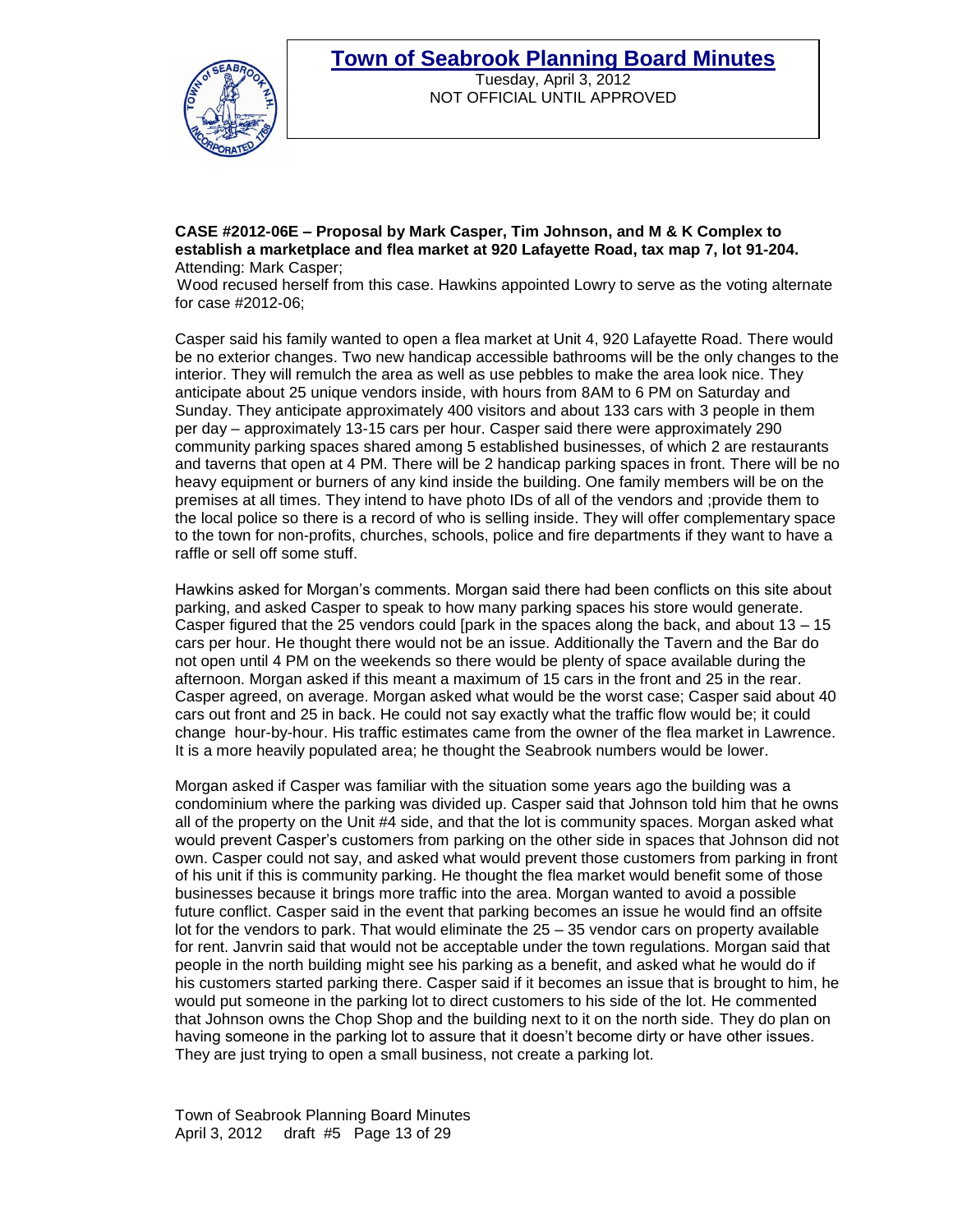

Tuesday, April 3, 2012 NOT OFFICIAL UNTIL APPROVED

**CASE #2012-06E – Proposal by Mark Casper, Tim Johnson, and M & K Complex to establish a marketplace and flea market at 920 Lafayette Road, tax map 7, lot 91-204.** Attending: Mark Casper;

 Wood recused herself from this case. Hawkins appointed Lowry to serve as the voting alternate for case #2012-06;

Casper said his family wanted to open a flea market at Unit 4, 920 Lafayette Road. There would be no exterior changes. Two new handicap accessible bathrooms will be the only changes to the interior. They will remulch the area as well as use pebbles to make the area look nice. They anticipate about 25 unique vendors inside, with hours from 8AM to 6 PM on Saturday and Sunday. They anticipate approximately 400 visitors and about 133 cars with 3 people in them per day – approximately 13-15 cars per hour. Casper said there were approximately 290 community parking spaces shared among 5 established businesses, of which 2 are restaurants and taverns that open at 4 PM. There will be 2 handicap parking spaces in front. There will be no heavy equipment or burners of any kind inside the building. One family members will be on the premises at all times. They intend to have photo IDs of all of the vendors and ;provide them to the local police so there is a record of who is selling inside. They will offer complementary space to the town for non-profits, churches, schools, police and fire departments if they want to have a raffle or sell off some stuff.

Hawkins asked for Morgan's comments. Morgan said there had been conflicts on this site about parking, and asked Casper to speak to how many parking spaces his store would generate. Casper figured that the 25 vendors could [park in the spaces along the back, and about  $13 - 15$ cars per hour. He thought there would not be an issue. Additionally the Tavern and the Bar do not open until 4 PM on the weekends so there would be plenty of space available during the afternoon. Morgan asked if this meant a maximum of 15 cars in the front and 25 in the rear. Casper agreed, on average. Morgan asked what would be the worst case; Casper said about 40 cars out front and 25 in back. He could not say exactly what the traffic flow would be; it could change hour-by-hour. His traffic estimates came from the owner of the flea market in Lawrence. It is a more heavily populated area; he thought the Seabrook numbers would be lower.

Morgan asked if Casper was familiar with the situation some years ago the building was a condominium where the parking was divided up. Casper said that Johnson told him that he owns all of the property on the Unit #4 side, and that the lot is community spaces. Morgan asked what would prevent Casper's customers from parking on the other side in spaces that Johnson did not own. Casper could not say, and asked what would prevent those customers from parking in front of his unit if this is community parking. He thought the flea market would benefit some of those businesses because it brings more traffic into the area. Morgan wanted to avoid a possible future conflict. Casper said in the event that parking becomes an issue he would find an offsite lot for the vendors to park. That would eliminate the 25 – 35 vendor cars on property available for rent. Janvrin said that would not be acceptable under the town regulations. Morgan said that people in the north building might see his parking as a benefit, and asked what he would do if his customers started parking there. Casper said if it becomes an issue that is brought to him, he would put someone in the parking lot to direct customers to his side of the lot. He commented that Johnson owns the Chop Shop and the building next to it on the north side. They do plan on having someone in the parking lot to assure that it doesn't become dirty or have other issues. They are just trying to open a small business, not create a parking lot.

Town of Seabrook Planning Board Minutes April 3, 2012 draft #5 Page 13 of 29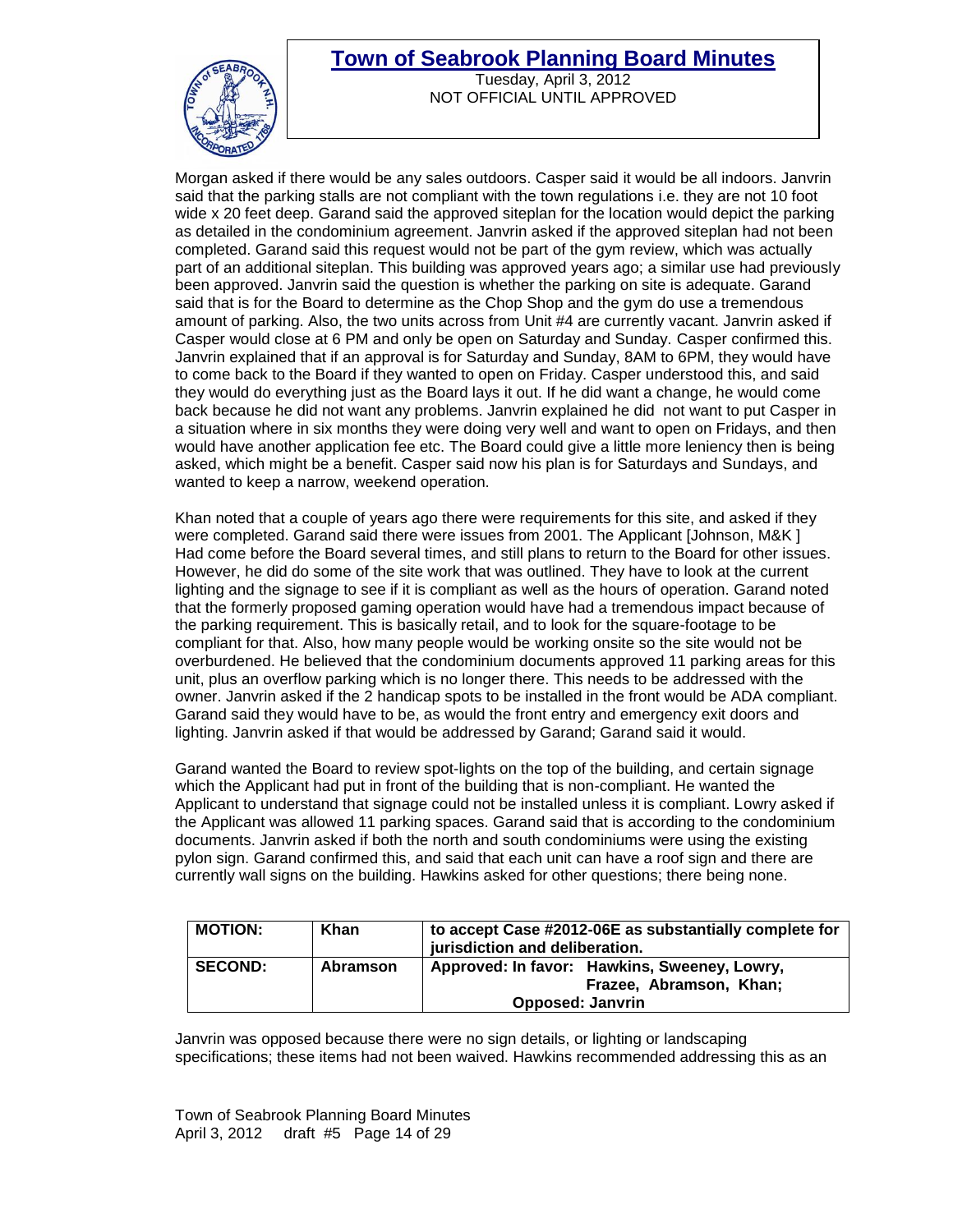

Tuesday, April 3, 2012 NOT OFFICIAL UNTIL APPROVED

Morgan asked if there would be any sales outdoors. Casper said it would be all indoors. Janvrin said that the parking stalls are not compliant with the town regulations i.e. they are not 10 foot wide x 20 feet deep. Garand said the approved siteplan for the location would depict the parking as detailed in the condominium agreement. Janvrin asked if the approved siteplan had not been completed. Garand said this request would not be part of the gym review, which was actually part of an additional siteplan. This building was approved years ago; a similar use had previously been approved. Janvrin said the question is whether the parking on site is adequate. Garand said that is for the Board to determine as the Chop Shop and the gym do use a tremendous amount of parking. Also, the two units across from Unit #4 are currently vacant. Janvrin asked if Casper would close at 6 PM and only be open on Saturday and Sunday. Casper confirmed this. Janvrin explained that if an approval is for Saturday and Sunday, 8AM to 6PM, they would have to come back to the Board if they wanted to open on Friday. Casper understood this, and said they would do everything just as the Board lays it out. If he did want a change, he would come back because he did not want any problems. Janvrin explained he did not want to put Casper in a situation where in six months they were doing very well and want to open on Fridays, and then would have another application fee etc. The Board could give a little more leniency then is being asked, which might be a benefit. Casper said now his plan is for Saturdays and Sundays, and wanted to keep a narrow, weekend operation.

Khan noted that a couple of years ago there were requirements for this site, and asked if they were completed. Garand said there were issues from 2001. The Applicant [Johnson, M&K ] Had come before the Board several times, and still plans to return to the Board for other issues. However, he did do some of the site work that was outlined. They have to look at the current lighting and the signage to see if it is compliant as well as the hours of operation. Garand noted that the formerly proposed gaming operation would have had a tremendous impact because of the parking requirement. This is basically retail, and to look for the square-footage to be compliant for that. Also, how many people would be working onsite so the site would not be overburdened. He believed that the condominium documents approved 11 parking areas for this unit, plus an overflow parking which is no longer there. This needs to be addressed with the owner. Janvrin asked if the 2 handicap spots to be installed in the front would be ADA compliant. Garand said they would have to be, as would the front entry and emergency exit doors and lighting. Janvrin asked if that would be addressed by Garand; Garand said it would.

Garand wanted the Board to review spot-lights on the top of the building, and certain signage which the Applicant had put in front of the building that is non-compliant. He wanted the Applicant to understand that signage could not be installed unless it is compliant. Lowry asked if the Applicant was allowed 11 parking spaces. Garand said that is according to the condominium documents. Janvrin asked if both the north and south condominiums were using the existing pylon sign. Garand confirmed this, and said that each unit can have a roof sign and there are currently wall signs on the building. Hawkins asked for other questions; there being none.

| <b>MOTION:</b> | Khan     | to accept Case #2012-06E as substantially complete for<br>jurisdiction and deliberation.           |
|----------------|----------|----------------------------------------------------------------------------------------------------|
| <b>SECOND:</b> | Abramson | Approved: In favor: Hawkins, Sweeney, Lowry,<br>Frazee, Abramson, Khan;<br><b>Opposed: Janvrin</b> |
|                |          |                                                                                                    |

Janvrin was opposed because there were no sign details, or lighting or landscaping specifications; these items had not been waived. Hawkins recommended addressing this as an

Town of Seabrook Planning Board Minutes April 3, 2012 draft #5 Page 14 of 29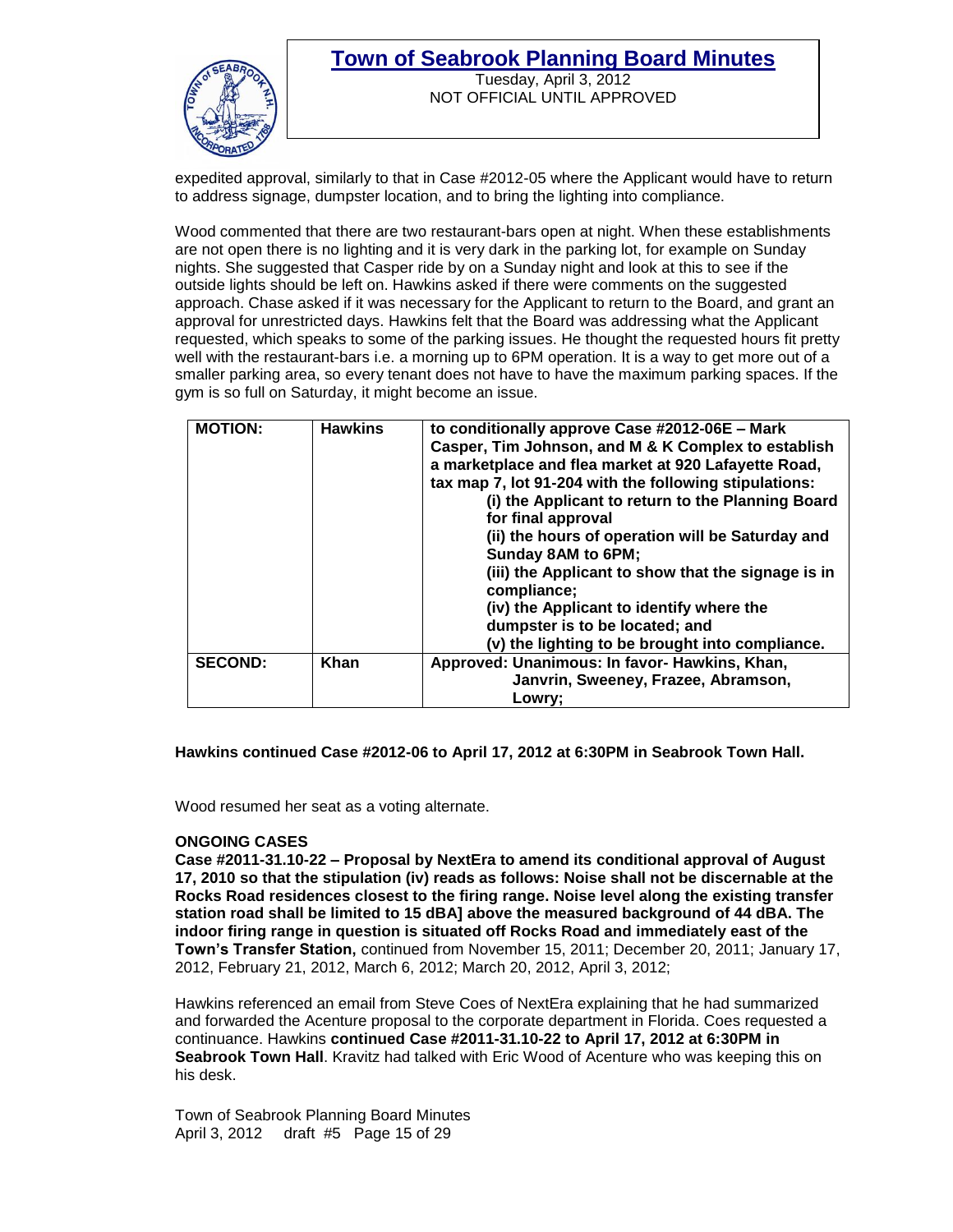

#### **Town of Seabrook Planning Board Minutes** Tuesday, April 3, 2012 NOT OFFICIAL UNTIL APPROVED

expedited approval, similarly to that in Case #2012-05 where the Applicant would have to return to address signage, dumpster location, and to bring the lighting into compliance.

Wood commented that there are two restaurant-bars open at night. When these establishments are not open there is no lighting and it is very dark in the parking lot, for example on Sunday nights. She suggested that Casper ride by on a Sunday night and look at this to see if the outside lights should be left on. Hawkins asked if there were comments on the suggested approach. Chase asked if it was necessary for the Applicant to return to the Board, and grant an approval for unrestricted days. Hawkins felt that the Board was addressing what the Applicant requested, which speaks to some of the parking issues. He thought the requested hours fit pretty well with the restaurant-bars i.e. a morning up to 6PM operation. It is a way to get more out of a smaller parking area, so every tenant does not have to have the maximum parking spaces. If the gym is so full on Saturday, it might become an issue.

| <b>MOTION:</b> | <b>Hawkins</b> | to conditionally approve Case #2012-06E - Mark<br>Casper, Tim Johnson, and M & K Complex to establish<br>a marketplace and flea market at 920 Lafayette Road,<br>tax map 7, lot 91-204 with the following stipulations:<br>(i) the Applicant to return to the Planning Board<br>for final approval<br>(ii) the hours of operation will be Saturday and<br><b>Sunday 8AM to 6PM;</b><br>(iii) the Applicant to show that the signage is in<br>compliance:<br>(iv) the Applicant to identify where the<br>dumpster is to be located; and<br>(v) the lighting to be brought into compliance. |
|----------------|----------------|-------------------------------------------------------------------------------------------------------------------------------------------------------------------------------------------------------------------------------------------------------------------------------------------------------------------------------------------------------------------------------------------------------------------------------------------------------------------------------------------------------------------------------------------------------------------------------------------|
| <b>SECOND:</b> | Khan           | Approved: Unanimous: In favor- Hawkins, Khan,<br>Janvrin, Sweeney, Frazee, Abramson,                                                                                                                                                                                                                                                                                                                                                                                                                                                                                                      |
|                |                | Lowry;                                                                                                                                                                                                                                                                                                                                                                                                                                                                                                                                                                                    |

**Hawkins continued Case #2012-06 to April 17, 2012 at 6:30PM in Seabrook Town Hall.**

Wood resumed her seat as a voting alternate.

#### **ONGOING CASES**

**Case #2011-31.10-22 – Proposal by NextEra to amend its conditional approval of August 17, 2010 so that the stipulation (iv) reads as follows: Noise shall not be discernable at the Rocks Road residences closest to the firing range. Noise level along the existing transfer station road shall be limited to 15 dBA] above the measured background of 44 dBA. The indoor firing range in question is situated off Rocks Road and immediately east of the Town's Transfer Station,** continued from November 15, 2011; December 20, 2011; January 17, 2012, February 21, 2012, March 6, 2012; March 20, 2012, April 3, 2012;

Hawkins referenced an email from Steve Coes of NextEra explaining that he had summarized and forwarded the Acenture proposal to the corporate department in Florida. Coes requested a continuance. Hawkins **continued Case #2011-31.10-22 to April 17, 2012 at 6:30PM in Seabrook Town Hall**. Kravitz had talked with Eric Wood of Acenture who was keeping this on his desk.

Town of Seabrook Planning Board Minutes April 3, 2012 draft #5 Page 15 of 29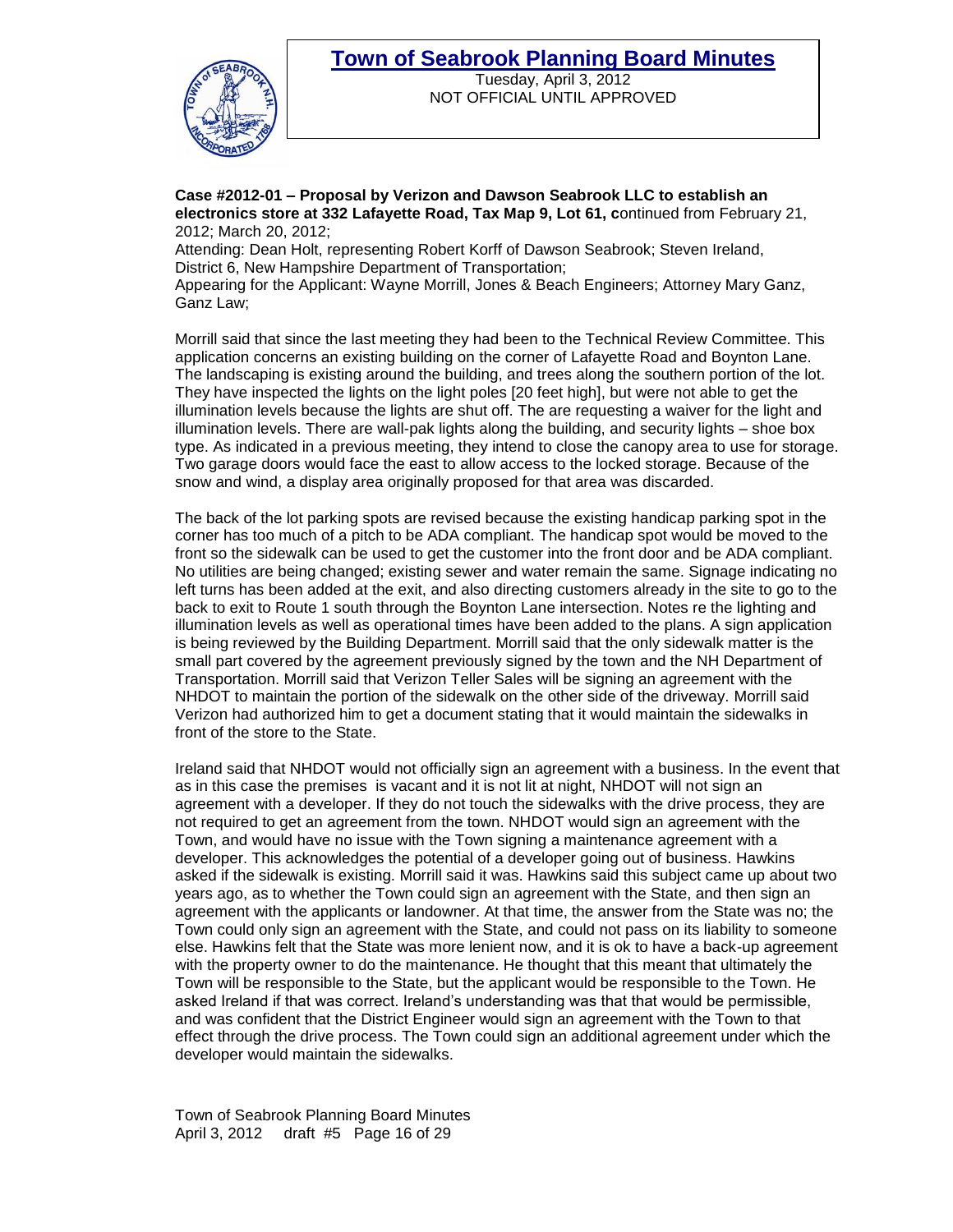

Tuesday, April 3, 2012 NOT OFFICIAL UNTIL APPROVED

**Case #2012-01 – Proposal by Verizon and Dawson Seabrook LLC to establish an electronics store at 332 Lafayette Road, Tax Map 9, Lot 61, c**ontinued from February 21, 2012; March 20, 2012;

Attending: Dean Holt, representing Robert Korff of Dawson Seabrook; Steven Ireland, District 6, New Hampshire Department of Transportation;

Appearing for the Applicant: Wayne Morrill, Jones & Beach Engineers; Attorney Mary Ganz, Ganz Law;

Morrill said that since the last meeting they had been to the Technical Review Committee. This application concerns an existing building on the corner of Lafayette Road and Boynton Lane. The landscaping is existing around the building, and trees along the southern portion of the lot. They have inspected the lights on the light poles [20 feet high], but were not able to get the illumination levels because the lights are shut off. The are requesting a waiver for the light and illumination levels. There are wall-pak lights along the building, and security lights – shoe box type. As indicated in a previous meeting, they intend to close the canopy area to use for storage. Two garage doors would face the east to allow access to the locked storage. Because of the snow and wind, a display area originally proposed for that area was discarded.

The back of the lot parking spots are revised because the existing handicap parking spot in the corner has too much of a pitch to be ADA compliant. The handicap spot would be moved to the front so the sidewalk can be used to get the customer into the front door and be ADA compliant. No utilities are being changed; existing sewer and water remain the same. Signage indicating no left turns has been added at the exit, and also directing customers already in the site to go to the back to exit to Route 1 south through the Boynton Lane intersection. Notes re the lighting and illumination levels as well as operational times have been added to the plans. A sign application is being reviewed by the Building Department. Morrill said that the only sidewalk matter is the small part covered by the agreement previously signed by the town and the NH Department of Transportation. Morrill said that Verizon Teller Sales will be signing an agreement with the NHDOT to maintain the portion of the sidewalk on the other side of the driveway. Morrill said Verizon had authorized him to get a document stating that it would maintain the sidewalks in front of the store to the State.

Ireland said that NHDOT would not officially sign an agreement with a business. In the event that as in this case the premises is vacant and it is not lit at night, NHDOT will not sign an agreement with a developer. If they do not touch the sidewalks with the drive process, they are not required to get an agreement from the town. NHDOT would sign an agreement with the Town, and would have no issue with the Town signing a maintenance agreement with a developer. This acknowledges the potential of a developer going out of business. Hawkins asked if the sidewalk is existing. Morrill said it was. Hawkins said this subject came up about two years ago, as to whether the Town could sign an agreement with the State, and then sign an agreement with the applicants or landowner. At that time, the answer from the State was no; the Town could only sign an agreement with the State, and could not pass on its liability to someone else. Hawkins felt that the State was more lenient now, and it is ok to have a back-up agreement with the property owner to do the maintenance. He thought that this meant that ultimately the Town will be responsible to the State, but the applicant would be responsible to the Town. He asked Ireland if that was correct. Ireland's understanding was that that would be permissible, and was confident that the District Engineer would sign an agreement with the Town to that effect through the drive process. The Town could sign an additional agreement under which the developer would maintain the sidewalks.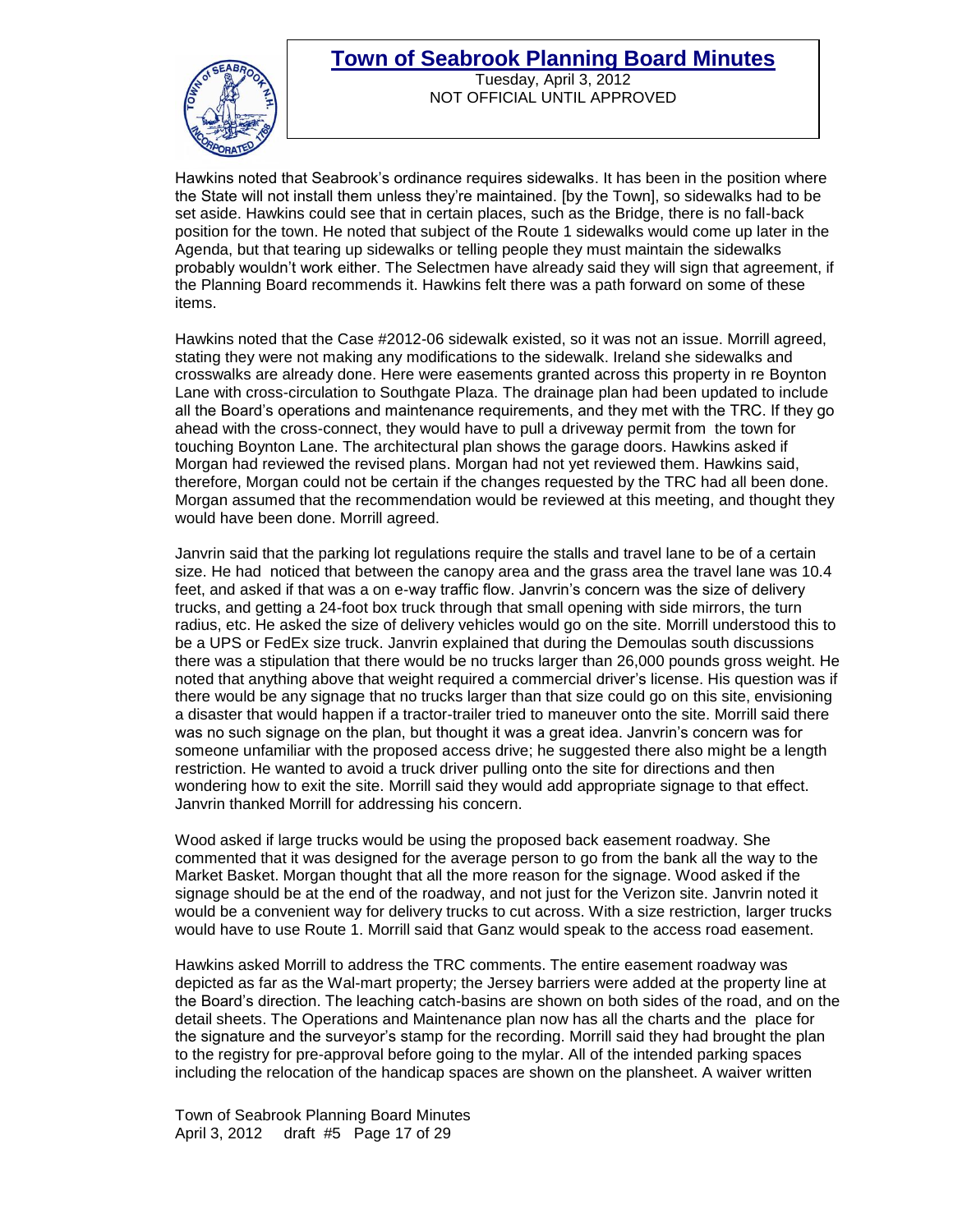

Tuesday, April 3, 2012 NOT OFFICIAL UNTIL APPROVED

Hawkins noted that Seabrook's ordinance requires sidewalks. It has been in the position where the State will not install them unless they're maintained. [by the Town], so sidewalks had to be set aside. Hawkins could see that in certain places, such as the Bridge, there is no fall-back position for the town. He noted that subject of the Route 1 sidewalks would come up later in the Agenda, but that tearing up sidewalks or telling people they must maintain the sidewalks probably wouldn't work either. The Selectmen have already said they will sign that agreement, if the Planning Board recommends it. Hawkins felt there was a path forward on some of these items.

Hawkins noted that the Case #2012-06 sidewalk existed, so it was not an issue. Morrill agreed, stating they were not making any modifications to the sidewalk. Ireland she sidewalks and crosswalks are already done. Here were easements granted across this property in re Boynton Lane with cross-circulation to Southgate Plaza. The drainage plan had been updated to include all the Board's operations and maintenance requirements, and they met with the TRC. If they go ahead with the cross-connect, they would have to pull a driveway permit from the town for touching Boynton Lane. The architectural plan shows the garage doors. Hawkins asked if Morgan had reviewed the revised plans. Morgan had not yet reviewed them. Hawkins said, therefore, Morgan could not be certain if the changes requested by the TRC had all been done. Morgan assumed that the recommendation would be reviewed at this meeting, and thought they would have been done. Morrill agreed.

Janvrin said that the parking lot regulations require the stalls and travel lane to be of a certain size. He had noticed that between the canopy area and the grass area the travel lane was 10.4 feet, and asked if that was a on e-way traffic flow. Janvrin's concern was the size of delivery trucks, and getting a 24-foot box truck through that small opening with side mirrors, the turn radius, etc. He asked the size of delivery vehicles would go on the site. Morrill understood this to be a UPS or FedEx size truck. Janvrin explained that during the Demoulas south discussions there was a stipulation that there would be no trucks larger than 26,000 pounds gross weight. He noted that anything above that weight required a commercial driver's license. His question was if there would be any signage that no trucks larger than that size could go on this site, envisioning a disaster that would happen if a tractor-trailer tried to maneuver onto the site. Morrill said there was no such signage on the plan, but thought it was a great idea. Janvrin's concern was for someone unfamiliar with the proposed access drive; he suggested there also might be a length restriction. He wanted to avoid a truck driver pulling onto the site for directions and then wondering how to exit the site. Morrill said they would add appropriate signage to that effect. Janvrin thanked Morrill for addressing his concern.

Wood asked if large trucks would be using the proposed back easement roadway. She commented that it was designed for the average person to go from the bank all the way to the Market Basket. Morgan thought that all the more reason for the signage. Wood asked if the signage should be at the end of the roadway, and not just for the Verizon site. Janvrin noted it would be a convenient way for delivery trucks to cut across. With a size restriction, larger trucks would have to use Route 1. Morrill said that Ganz would speak to the access road easement.

Hawkins asked Morrill to address the TRC comments. The entire easement roadway was depicted as far as the Wal-mart property; the Jersey barriers were added at the property line at the Board's direction. The leaching catch-basins are shown on both sides of the road, and on the detail sheets. The Operations and Maintenance plan now has all the charts and the place for the signature and the surveyor's stamp for the recording. Morrill said they had brought the plan to the registry for pre-approval before going to the mylar. All of the intended parking spaces including the relocation of the handicap spaces are shown on the plansheet. A waiver written

Town of Seabrook Planning Board Minutes April 3, 2012 draft #5 Page 17 of 29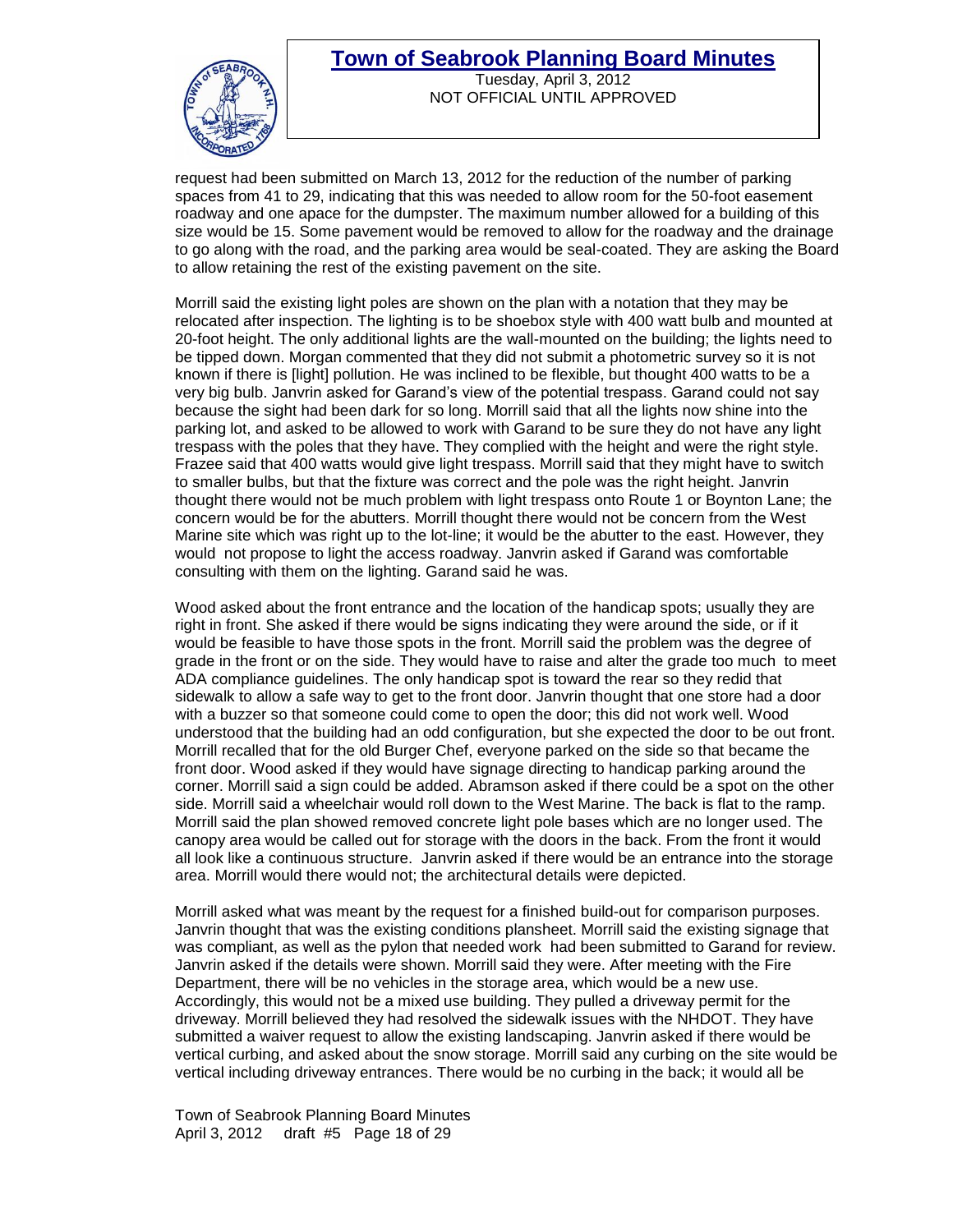

Tuesday, April 3, 2012 NOT OFFICIAL UNTIL APPROVED

request had been submitted on March 13, 2012 for the reduction of the number of parking spaces from 41 to 29, indicating that this was needed to allow room for the 50-foot easement roadway and one apace for the dumpster. The maximum number allowed for a building of this size would be 15. Some pavement would be removed to allow for the roadway and the drainage to go along with the road, and the parking area would be seal-coated. They are asking the Board to allow retaining the rest of the existing pavement on the site.

Morrill said the existing light poles are shown on the plan with a notation that they may be relocated after inspection. The lighting is to be shoebox style with 400 watt bulb and mounted at 20-foot height. The only additional lights are the wall-mounted on the building; the lights need to be tipped down. Morgan commented that they did not submit a photometric survey so it is not known if there is [light] pollution. He was inclined to be flexible, but thought 400 watts to be a very big bulb. Janvrin asked for Garand's view of the potential trespass. Garand could not say because the sight had been dark for so long. Morrill said that all the lights now shine into the parking lot, and asked to be allowed to work with Garand to be sure they do not have any light trespass with the poles that they have. They complied with the height and were the right style. Frazee said that 400 watts would give light trespass. Morrill said that they might have to switch to smaller bulbs, but that the fixture was correct and the pole was the right height. Janvrin thought there would not be much problem with light trespass onto Route 1 or Boynton Lane; the concern would be for the abutters. Morrill thought there would not be concern from the West Marine site which was right up to the lot-line; it would be the abutter to the east. However, they would not propose to light the access roadway. Janvrin asked if Garand was comfortable consulting with them on the lighting. Garand said he was.

Wood asked about the front entrance and the location of the handicap spots; usually they are right in front. She asked if there would be signs indicating they were around the side, or if it would be feasible to have those spots in the front. Morrill said the problem was the degree of grade in the front or on the side. They would have to raise and alter the grade too much to meet ADA compliance guidelines. The only handicap spot is toward the rear so they redid that sidewalk to allow a safe way to get to the front door. Janvrin thought that one store had a door with a buzzer so that someone could come to open the door; this did not work well. Wood understood that the building had an odd configuration, but she expected the door to be out front. Morrill recalled that for the old Burger Chef, everyone parked on the side so that became the front door. Wood asked if they would have signage directing to handicap parking around the corner. Morrill said a sign could be added. Abramson asked if there could be a spot on the other side. Morrill said a wheelchair would roll down to the West Marine. The back is flat to the ramp. Morrill said the plan showed removed concrete light pole bases which are no longer used. The canopy area would be called out for storage with the doors in the back. From the front it would all look like a continuous structure. Janvrin asked if there would be an entrance into the storage area. Morrill would there would not; the architectural details were depicted.

Morrill asked what was meant by the request for a finished build-out for comparison purposes. Janvrin thought that was the existing conditions plansheet. Morrill said the existing signage that was compliant, as well as the pylon that needed work had been submitted to Garand for review. Janvrin asked if the details were shown. Morrill said they were. After meeting with the Fire Department, there will be no vehicles in the storage area, which would be a new use. Accordingly, this would not be a mixed use building. They pulled a driveway permit for the driveway. Morrill believed they had resolved the sidewalk issues with the NHDOT. They have submitted a waiver request to allow the existing landscaping. Janvrin asked if there would be vertical curbing, and asked about the snow storage. Morrill said any curbing on the site would be vertical including driveway entrances. There would be no curbing in the back; it would all be

Town of Seabrook Planning Board Minutes April 3, 2012 draft #5 Page 18 of 29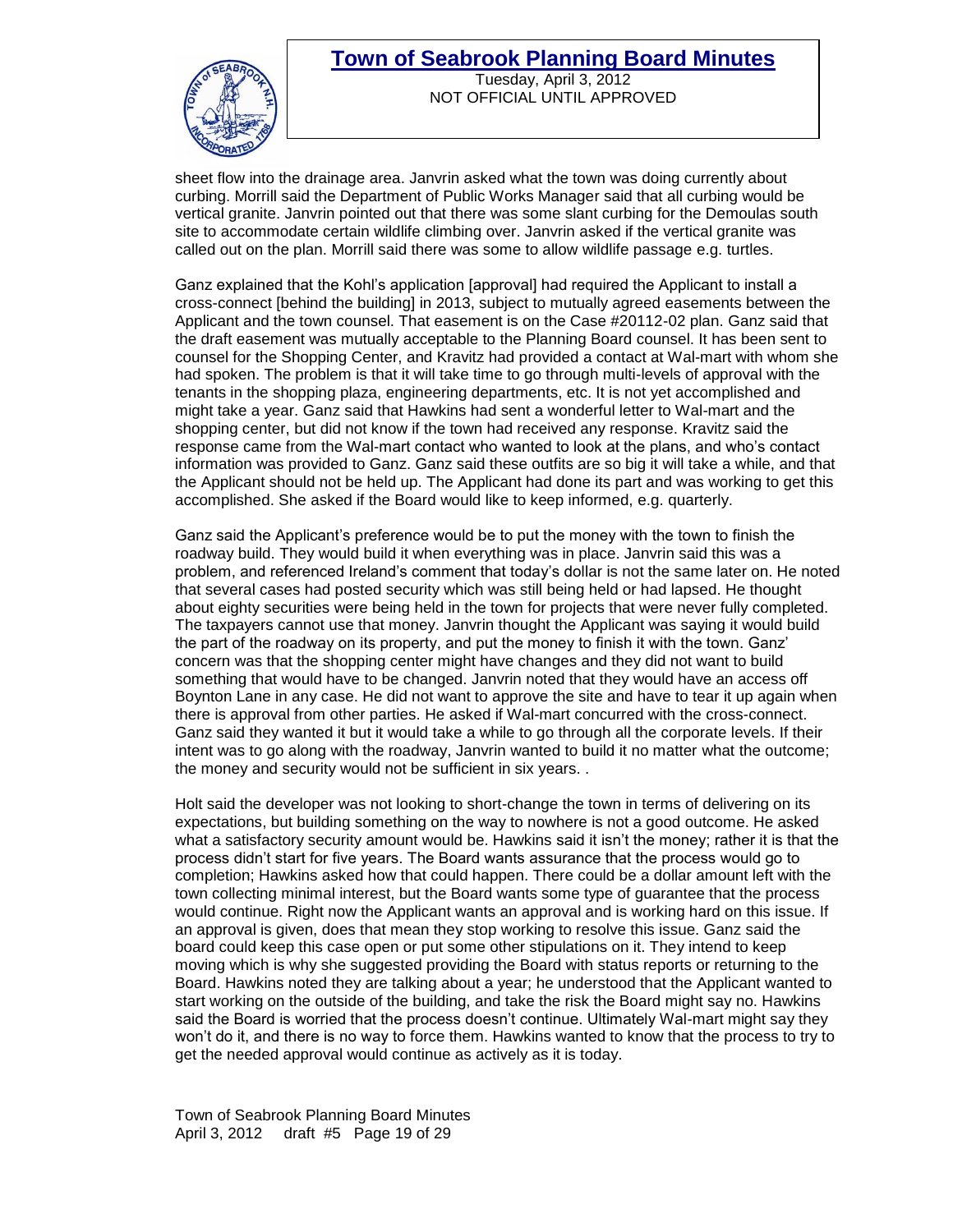

Tuesday, April 3, 2012 NOT OFFICIAL UNTIL APPROVED

sheet flow into the drainage area. Janvrin asked what the town was doing currently about curbing. Morrill said the Department of Public Works Manager said that all curbing would be vertical granite. Janvrin pointed out that there was some slant curbing for the Demoulas south site to accommodate certain wildlife climbing over. Janvrin asked if the vertical granite was called out on the plan. Morrill said there was some to allow wildlife passage e.g. turtles.

Ganz explained that the Kohl's application [approval] had required the Applicant to install a cross-connect [behind the building] in 2013, subject to mutually agreed easements between the Applicant and the town counsel. That easement is on the Case #20112-02 plan. Ganz said that the draft easement was mutually acceptable to the Planning Board counsel. It has been sent to counsel for the Shopping Center, and Kravitz had provided a contact at Wal-mart with whom she had spoken. The problem is that it will take time to go through multi-levels of approval with the tenants in the shopping plaza, engineering departments, etc. It is not yet accomplished and might take a year. Ganz said that Hawkins had sent a wonderful letter to Wal-mart and the shopping center, but did not know if the town had received any response. Kravitz said the response came from the Wal-mart contact who wanted to look at the plans, and who's contact information was provided to Ganz. Ganz said these outfits are so big it will take a while, and that the Applicant should not be held up. The Applicant had done its part and was working to get this accomplished. She asked if the Board would like to keep informed, e.g. quarterly.

Ganz said the Applicant's preference would be to put the money with the town to finish the roadway build. They would build it when everything was in place. Janvrin said this was a problem, and referenced Ireland's comment that today's dollar is not the same later on. He noted that several cases had posted security which was still being held or had lapsed. He thought about eighty securities were being held in the town for projects that were never fully completed. The taxpayers cannot use that money. Janvrin thought the Applicant was saying it would build the part of the roadway on its property, and put the money to finish it with the town. Ganz' concern was that the shopping center might have changes and they did not want to build something that would have to be changed. Janvrin noted that they would have an access off Boynton Lane in any case. He did not want to approve the site and have to tear it up again when there is approval from other parties. He asked if Wal-mart concurred with the cross-connect. Ganz said they wanted it but it would take a while to go through all the corporate levels. If their intent was to go along with the roadway, Janvrin wanted to build it no matter what the outcome; the money and security would not be sufficient in six years. .

Holt said the developer was not looking to short-change the town in terms of delivering on its expectations, but building something on the way to nowhere is not a good outcome. He asked what a satisfactory security amount would be. Hawkins said it isn't the money; rather it is that the process didn't start for five years. The Board wants assurance that the process would go to completion; Hawkins asked how that could happen. There could be a dollar amount left with the town collecting minimal interest, but the Board wants some type of guarantee that the process would continue. Right now the Applicant wants an approval and is working hard on this issue. If an approval is given, does that mean they stop working to resolve this issue. Ganz said the board could keep this case open or put some other stipulations on it. They intend to keep moving which is why she suggested providing the Board with status reports or returning to the Board. Hawkins noted they are talking about a year; he understood that the Applicant wanted to start working on the outside of the building, and take the risk the Board might say no. Hawkins said the Board is worried that the process doesn't continue. Ultimately Wal-mart might say they won't do it, and there is no way to force them. Hawkins wanted to know that the process to try to get the needed approval would continue as actively as it is today.

Town of Seabrook Planning Board Minutes April 3, 2012 draft #5 Page 19 of 29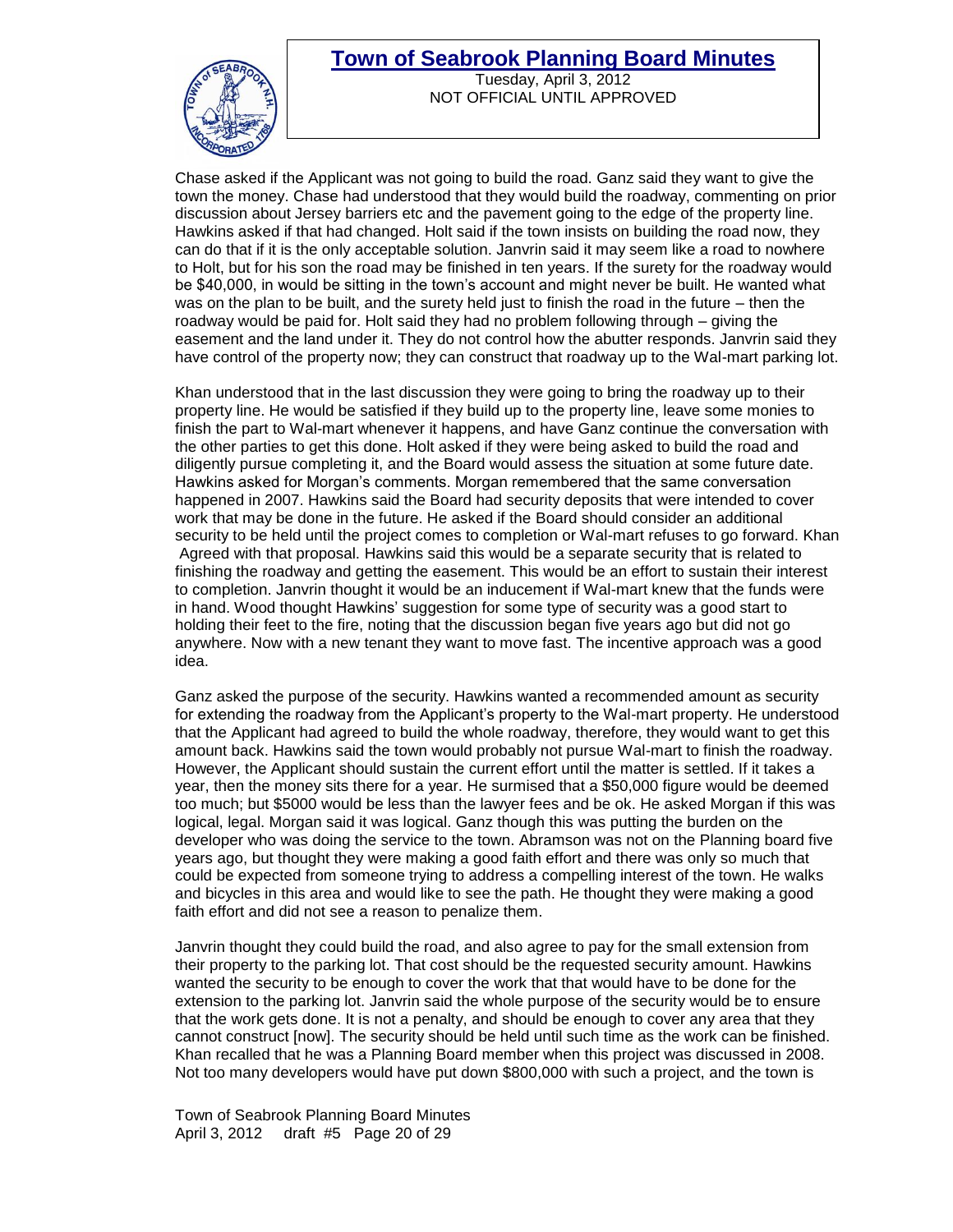

Tuesday, April 3, 2012 NOT OFFICIAL UNTIL APPROVED

Chase asked if the Applicant was not going to build the road. Ganz said they want to give the town the money. Chase had understood that they would build the roadway, commenting on prior discussion about Jersey barriers etc and the pavement going to the edge of the property line. Hawkins asked if that had changed. Holt said if the town insists on building the road now, they can do that if it is the only acceptable solution. Janvrin said it may seem like a road to nowhere to Holt, but for his son the road may be finished in ten years. If the surety for the roadway would be \$40,000, in would be sitting in the town's account and might never be built. He wanted what was on the plan to be built, and the surety held just to finish the road in the future – then the roadway would be paid for. Holt said they had no problem following through – giving the easement and the land under it. They do not control how the abutter responds. Janvrin said they have control of the property now; they can construct that roadway up to the Wal-mart parking lot.

Khan understood that in the last discussion they were going to bring the roadway up to their property line. He would be satisfied if they build up to the property line, leave some monies to finish the part to Wal-mart whenever it happens, and have Ganz continue the conversation with the other parties to get this done. Holt asked if they were being asked to build the road and diligently pursue completing it, and the Board would assess the situation at some future date. Hawkins asked for Morgan's comments. Morgan remembered that the same conversation happened in 2007. Hawkins said the Board had security deposits that were intended to cover work that may be done in the future. He asked if the Board should consider an additional security to be held until the project comes to completion or Wal-mart refuses to go forward. Khan Agreed with that proposal. Hawkins said this would be a separate security that is related to finishing the roadway and getting the easement. This would be an effort to sustain their interest to completion. Janvrin thought it would be an inducement if Wal-mart knew that the funds were in hand. Wood thought Hawkins' suggestion for some type of security was a good start to holding their feet to the fire, noting that the discussion began five years ago but did not go anywhere. Now with a new tenant they want to move fast. The incentive approach was a good idea.

Ganz asked the purpose of the security. Hawkins wanted a recommended amount as security for extending the roadway from the Applicant's property to the Wal-mart property. He understood that the Applicant had agreed to build the whole roadway, therefore, they would want to get this amount back. Hawkins said the town would probably not pursue Wal-mart to finish the roadway. However, the Applicant should sustain the current effort until the matter is settled. If it takes a year, then the money sits there for a year. He surmised that a \$50,000 figure would be deemed too much; but \$5000 would be less than the lawyer fees and be ok. He asked Morgan if this was logical, legal. Morgan said it was logical. Ganz though this was putting the burden on the developer who was doing the service to the town. Abramson was not on the Planning board five years ago, but thought they were making a good faith effort and there was only so much that could be expected from someone trying to address a compelling interest of the town. He walks and bicycles in this area and would like to see the path. He thought they were making a good faith effort and did not see a reason to penalize them.

Janvrin thought they could build the road, and also agree to pay for the small extension from their property to the parking lot. That cost should be the requested security amount. Hawkins wanted the security to be enough to cover the work that that would have to be done for the extension to the parking lot. Janvrin said the whole purpose of the security would be to ensure that the work gets done. It is not a penalty, and should be enough to cover any area that they cannot construct [now]. The security should be held until such time as the work can be finished. Khan recalled that he was a Planning Board member when this project was discussed in 2008. Not too many developers would have put down \$800,000 with such a project, and the town is

Town of Seabrook Planning Board Minutes April 3, 2012 draft #5 Page 20 of 29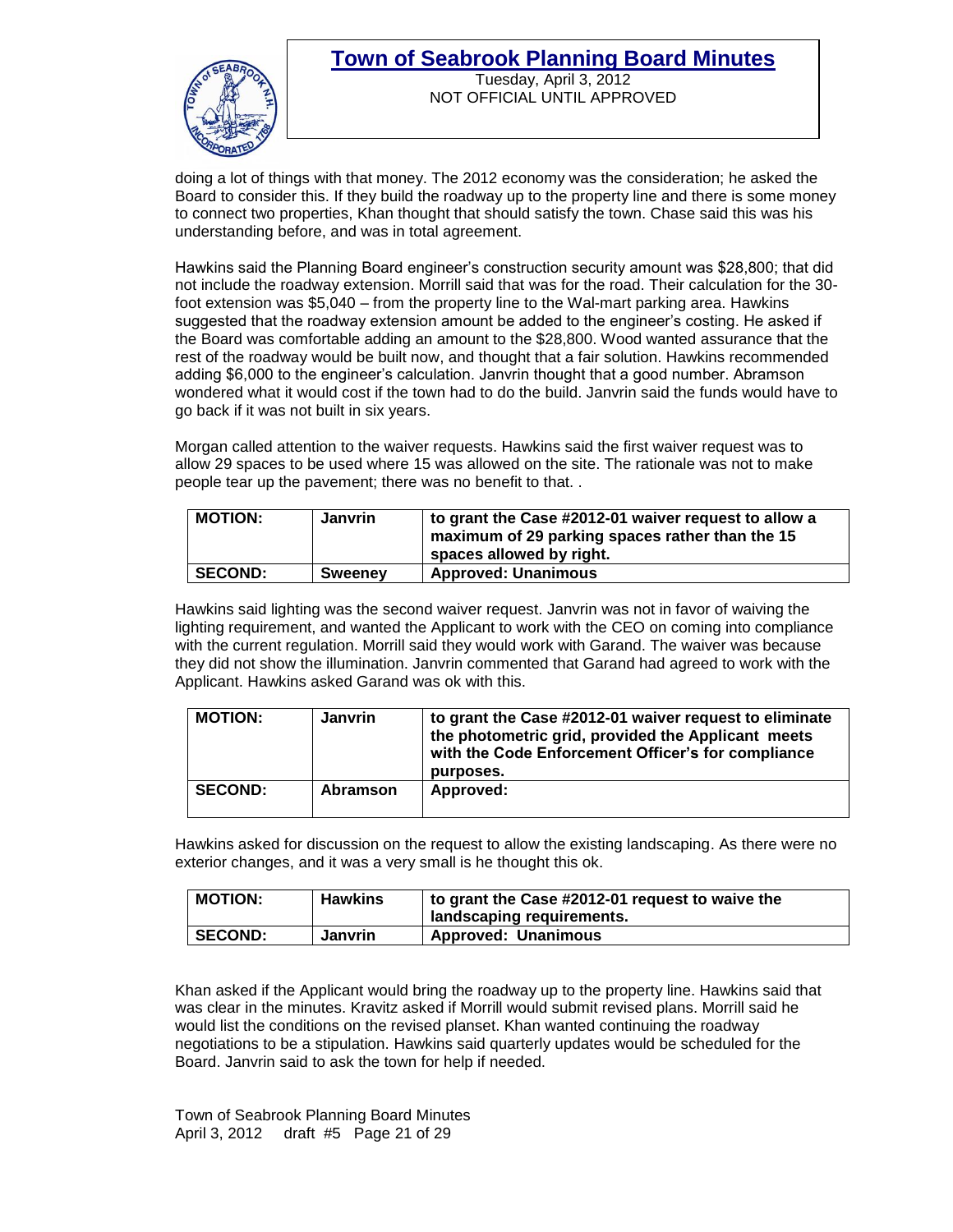NOT OFFICIAL UNTIL APPROVED



doing a lot of things with that money. The 2012 economy was the consideration; he asked the Board to consider this. If they build the roadway up to the property line and there is some money to connect two properties, Khan thought that should satisfy the town. Chase said this was his understanding before, and was in total agreement.

Hawkins said the Planning Board engineer's construction security amount was \$28,800; that did not include the roadway extension. Morrill said that was for the road. Their calculation for the 30 foot extension was \$5,040 – from the property line to the Wal-mart parking area. Hawkins suggested that the roadway extension amount be added to the engineer's costing. He asked if the Board was comfortable adding an amount to the \$28,800. Wood wanted assurance that the rest of the roadway would be built now, and thought that a fair solution. Hawkins recommended adding \$6,000 to the engineer's calculation. Janvrin thought that a good number. Abramson wondered what it would cost if the town had to do the build. Janvrin said the funds would have to go back if it was not built in six years.

Morgan called attention to the waiver requests. Hawkins said the first waiver request was to allow 29 spaces to be used where 15 was allowed on the site. The rationale was not to make people tear up the pavement; there was no benefit to that. .

| <b>MOTION:</b> | <b>Janvrin</b> | to grant the Case #2012-01 waiver request to allow a<br>maximum of 29 parking spaces rather than the 15<br>spaces allowed by right. |
|----------------|----------------|-------------------------------------------------------------------------------------------------------------------------------------|
| <b>SECOND:</b> | <b>Sweeney</b> | <b>Approved: Unanimous</b>                                                                                                          |

Hawkins said lighting was the second waiver request. Janvrin was not in favor of waiving the lighting requirement, and wanted the Applicant to work with the CEO on coming into compliance with the current regulation. Morrill said they would work with Garand. The waiver was because they did not show the illumination. Janvrin commented that Garand had agreed to work with the Applicant. Hawkins asked Garand was ok with this.

| <b>MOTION:</b> | <b>Janvrin</b> | to grant the Case #2012-01 waiver request to eliminate<br>the photometric grid, provided the Applicant meets<br>with the Code Enforcement Officer's for compliance<br>purposes. |
|----------------|----------------|---------------------------------------------------------------------------------------------------------------------------------------------------------------------------------|
| <b>SECOND:</b> | Abramson       | Approved:                                                                                                                                                                       |

Hawkins asked for discussion on the request to allow the existing landscaping. As there were no exterior changes, and it was a very small is he thought this ok.

| <b>MOTION:</b> | <b>Hawkins</b> | to grant the Case #2012-01 request to waive the<br>landscaping requirements. |
|----------------|----------------|------------------------------------------------------------------------------|
| <b>SECOND:</b> | <b>Janvrin</b> | <b>Approved: Unanimous</b>                                                   |

Khan asked if the Applicant would bring the roadway up to the property line. Hawkins said that was clear in the minutes. Kravitz asked if Morrill would submit revised plans. Morrill said he would list the conditions on the revised planset. Khan wanted continuing the roadway negotiations to be a stipulation. Hawkins said quarterly updates would be scheduled for the Board. Janvrin said to ask the town for help if needed.

Town of Seabrook Planning Board Minutes April 3, 2012 draft #5 Page 21 of 29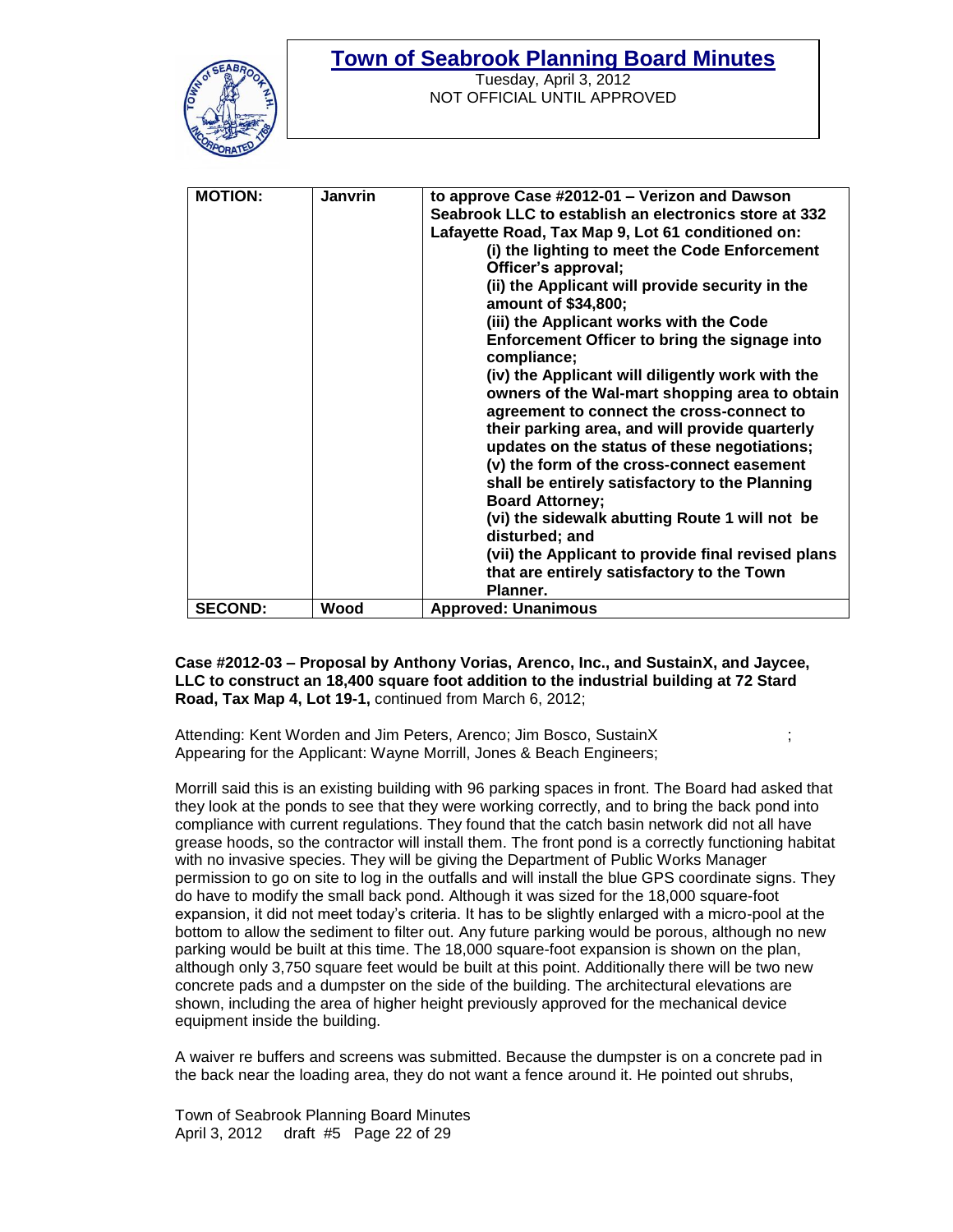

Tuesday, April 3, 2012 NOT OFFICIAL UNTIL APPROVED

| <b>MOTION:</b> | <b>Janvrin</b> |                                                       |
|----------------|----------------|-------------------------------------------------------|
|                |                | to approve Case #2012-01 - Verizon and Dawson         |
|                |                | Seabrook LLC to establish an electronics store at 332 |
|                |                | Lafayette Road, Tax Map 9, Lot 61 conditioned on:     |
|                |                | (i) the lighting to meet the Code Enforcement         |
|                |                | Officer's approval;                                   |
|                |                | (ii) the Applicant will provide security in the       |
|                |                | amount of \$34,800;                                   |
|                |                | (iii) the Applicant works with the Code               |
|                |                | Enforcement Officer to bring the signage into         |
|                |                | compliance;                                           |
|                |                | (iv) the Applicant will diligently work with the      |
|                |                | owners of the Wal-mart shopping area to obtain        |
|                |                |                                                       |
|                |                | agreement to connect the cross-connect to             |
|                |                | their parking area, and will provide quarterly        |
|                |                | updates on the status of these negotiations;          |
|                |                | (v) the form of the cross-connect easement            |
|                |                | shall be entirely satisfactory to the Planning        |
|                |                | <b>Board Attorney:</b>                                |
|                |                | (vi) the sidewalk abutting Route 1 will not be        |
|                |                | disturbed; and                                        |
|                |                | (vii) the Applicant to provide final revised plans    |
|                |                | that are entirely satisfactory to the Town            |
|                |                | Planner.                                              |
| <b>SECOND:</b> | Wood           |                                                       |
|                |                | <b>Approved: Unanimous</b>                            |

**Case #2012-03 – Proposal by Anthony Vorias, Arenco, Inc., and SustainX, and Jaycee, LLC to construct an 18,400 square foot addition to the industrial building at 72 Stard Road, Tax Map 4, Lot 19-1,** continued from March 6, 2012;

Attending: Kent Worden and Jim Peters, Arenco; Jim Bosco, SustainX Appearing for the Applicant: Wayne Morrill, Jones & Beach Engineers;

Morrill said this is an existing building with 96 parking spaces in front. The Board had asked that they look at the ponds to see that they were working correctly, and to bring the back pond into compliance with current regulations. They found that the catch basin network did not all have grease hoods, so the contractor will install them. The front pond is a correctly functioning habitat with no invasive species. They will be giving the Department of Public Works Manager permission to go on site to log in the outfalls and will install the blue GPS coordinate signs. They do have to modify the small back pond. Although it was sized for the 18,000 square-foot expansion, it did not meet today's criteria. It has to be slightly enlarged with a micro-pool at the bottom to allow the sediment to filter out. Any future parking would be porous, although no new parking would be built at this time. The 18,000 square-foot expansion is shown on the plan, although only 3,750 square feet would be built at this point. Additionally there will be two new concrete pads and a dumpster on the side of the building. The architectural elevations are shown, including the area of higher height previously approved for the mechanical device equipment inside the building.

A waiver re buffers and screens was submitted. Because the dumpster is on a concrete pad in the back near the loading area, they do not want a fence around it. He pointed out shrubs,

Town of Seabrook Planning Board Minutes April 3, 2012 draft #5 Page 22 of 29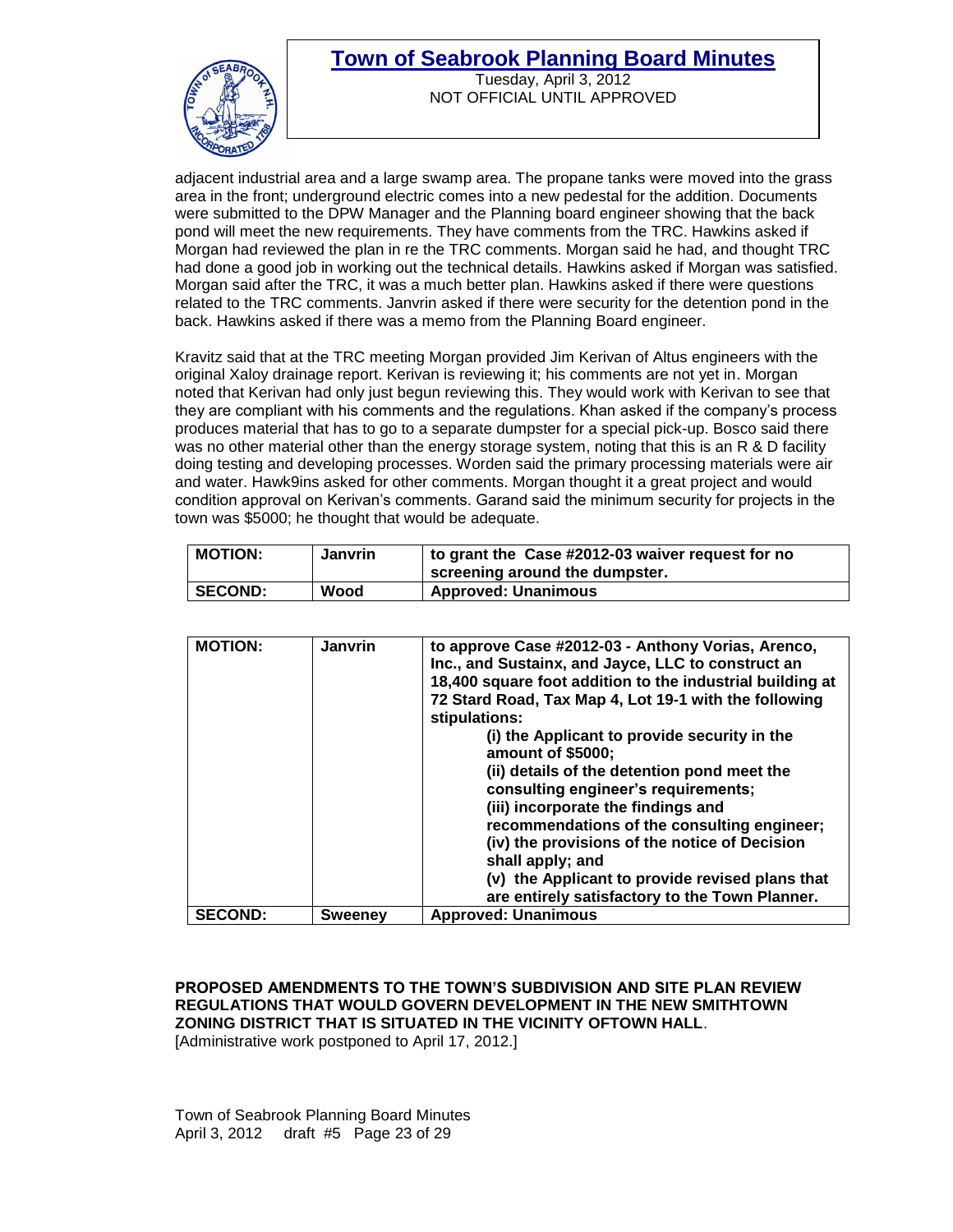



Tuesday, April 3, 2012 NOT OFFICIAL UNTIL APPROVED

adjacent industrial area and a large swamp area. The propane tanks were moved into the grass area in the front; underground electric comes into a new pedestal for the addition. Documents were submitted to the DPW Manager and the Planning board engineer showing that the back pond will meet the new requirements. They have comments from the TRC. Hawkins asked if Morgan had reviewed the plan in re the TRC comments. Morgan said he had, and thought TRC had done a good job in working out the technical details. Hawkins asked if Morgan was satisfied. Morgan said after the TRC, it was a much better plan. Hawkins asked if there were questions related to the TRC comments. Janvrin asked if there were security for the detention pond in the back. Hawkins asked if there was a memo from the Planning Board engineer.

Kravitz said that at the TRC meeting Morgan provided Jim Kerivan of Altus engineers with the original Xaloy drainage report. Kerivan is reviewing it; his comments are not yet in. Morgan noted that Kerivan had only just begun reviewing this. They would work with Kerivan to see that they are compliant with his comments and the regulations. Khan asked if the company's process produces material that has to go to a separate dumpster for a special pick-up. Bosco said there was no other material other than the energy storage system, noting that this is an R & D facility doing testing and developing processes. Worden said the primary processing materials were air and water. Hawk9ins asked for other comments. Morgan thought it a great project and would condition approval on Kerivan's comments. Garand said the minimum security for projects in the town was \$5000; he thought that would be adequate.

| <b>MOTION:</b> | <b>Janvrin</b> | to grant the Case #2012-03 waiver request for no<br>screening around the dumpster. |
|----------------|----------------|------------------------------------------------------------------------------------|
| <b>SECOND:</b> | Wood           | <b>Approved: Unanimous</b>                                                         |

| <b>MOTION:</b> | <b>Janvrin</b> | to approve Case #2012-03 - Anthony Vorias, Arenco,<br>Inc., and Sustainx, and Jayce, LLC to construct an<br>18,400 square foot addition to the industrial building at<br>72 Stard Road, Tax Map 4, Lot 19-1 with the following<br>stipulations:<br>(i) the Applicant to provide security in the<br>amount of \$5000;<br>(ii) details of the detention pond meet the<br>consulting engineer's requirements;<br>(iii) incorporate the findings and<br>recommendations of the consulting engineer;<br>(iv) the provisions of the notice of Decision<br>shall apply; and<br>(v) the Applicant to provide revised plans that<br>are entirely satisfactory to the Town Planner. |
|----------------|----------------|---------------------------------------------------------------------------------------------------------------------------------------------------------------------------------------------------------------------------------------------------------------------------------------------------------------------------------------------------------------------------------------------------------------------------------------------------------------------------------------------------------------------------------------------------------------------------------------------------------------------------------------------------------------------------|
| <b>SECOND:</b> | <b>Sweeney</b> | <b>Approved: Unanimous</b>                                                                                                                                                                                                                                                                                                                                                                                                                                                                                                                                                                                                                                                |

**PROPOSED AMENDMENTS TO THE TOWN'S SUBDIVISION AND SITE PLAN REVIEW REGULATIONS THAT WOULD GOVERN DEVELOPMENT IN THE NEW SMITHTOWN ZONING DISTRICT THAT IS SITUATED IN THE VICINITY OFTOWN HALL**. [Administrative work postponed to April 17, 2012.]

Town of Seabrook Planning Board Minutes April 3, 2012 draft #5 Page 23 of 29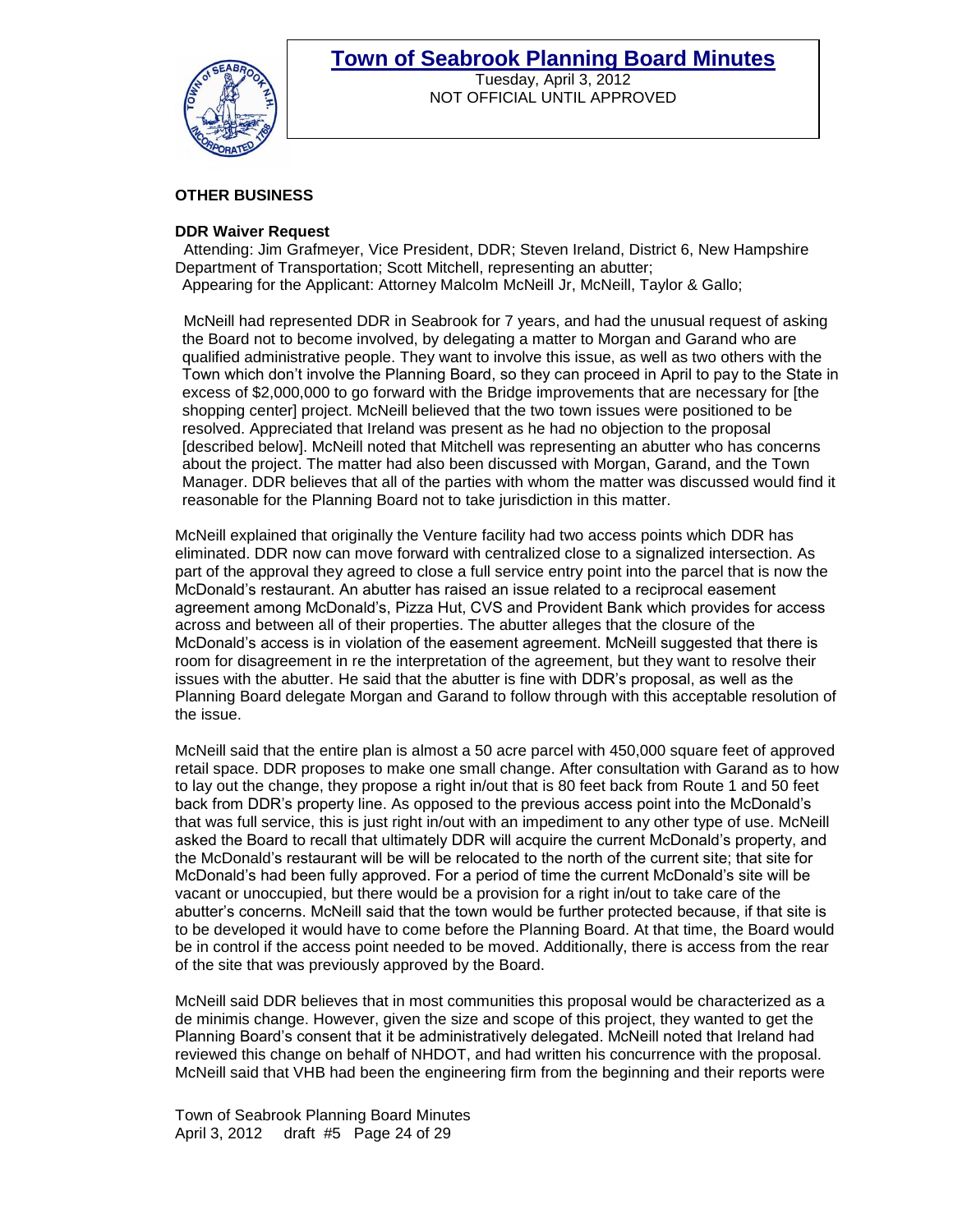

Tuesday, April 3, 2012 NOT OFFICIAL UNTIL APPROVED

#### **OTHER BUSINESS**

#### **DDR Waiver Request**

 Attending: Jim Grafmeyer, Vice President, DDR; Steven Ireland, District 6, New Hampshire Department of Transportation; Scott Mitchell, representing an abutter; Appearing for the Applicant: Attorney Malcolm McNeill Jr, McNeill, Taylor & Gallo;

 McNeill had represented DDR in Seabrook for 7 years, and had the unusual request of asking the Board not to become involved, by delegating a matter to Morgan and Garand who are qualified administrative people. They want to involve this issue, as well as two others with the Town which don't involve the Planning Board, so they can proceed in April to pay to the State in excess of \$2,000,000 to go forward with the Bridge improvements that are necessary for [the shopping center] project. McNeill believed that the two town issues were positioned to be resolved. Appreciated that Ireland was present as he had no objection to the proposal [described below]. McNeill noted that Mitchell was representing an abutter who has concerns about the project. The matter had also been discussed with Morgan, Garand, and the Town Manager. DDR believes that all of the parties with whom the matter was discussed would find it reasonable for the Planning Board not to take jurisdiction in this matter.

McNeill explained that originally the Venture facility had two access points which DDR has eliminated. DDR now can move forward with centralized close to a signalized intersection. As part of the approval they agreed to close a full service entry point into the parcel that is now the McDonald's restaurant. An abutter has raised an issue related to a reciprocal easement agreement among McDonald's, Pizza Hut, CVS and Provident Bank which provides for access across and between all of their properties. The abutter alleges that the closure of the McDonald's access is in violation of the easement agreement. McNeill suggested that there is room for disagreement in re the interpretation of the agreement, but they want to resolve their issues with the abutter. He said that the abutter is fine with DDR's proposal, as well as the Planning Board delegate Morgan and Garand to follow through with this acceptable resolution of the issue.

McNeill said that the entire plan is almost a 50 acre parcel with 450,000 square feet of approved retail space. DDR proposes to make one small change. After consultation with Garand as to how to lay out the change, they propose a right in/out that is 80 feet back from Route 1 and 50 feet back from DDR's property line. As opposed to the previous access point into the McDonald's that was full service, this is just right in/out with an impediment to any other type of use. McNeill asked the Board to recall that ultimately DDR will acquire the current McDonald's property, and the McDonald's restaurant will be will be relocated to the north of the current site; that site for McDonald's had been fully approved. For a period of time the current McDonald's site will be vacant or unoccupied, but there would be a provision for a right in/out to take care of the abutter's concerns. McNeill said that the town would be further protected because, if that site is to be developed it would have to come before the Planning Board. At that time, the Board would be in control if the access point needed to be moved. Additionally, there is access from the rear of the site that was previously approved by the Board.

McNeill said DDR believes that in most communities this proposal would be characterized as a de minimis change. However, given the size and scope of this project, they wanted to get the Planning Board's consent that it be administratively delegated. McNeill noted that Ireland had reviewed this change on behalf of NHDOT, and had written his concurrence with the proposal. McNeill said that VHB had been the engineering firm from the beginning and their reports were

Town of Seabrook Planning Board Minutes April 3, 2012 draft #5 Page 24 of 29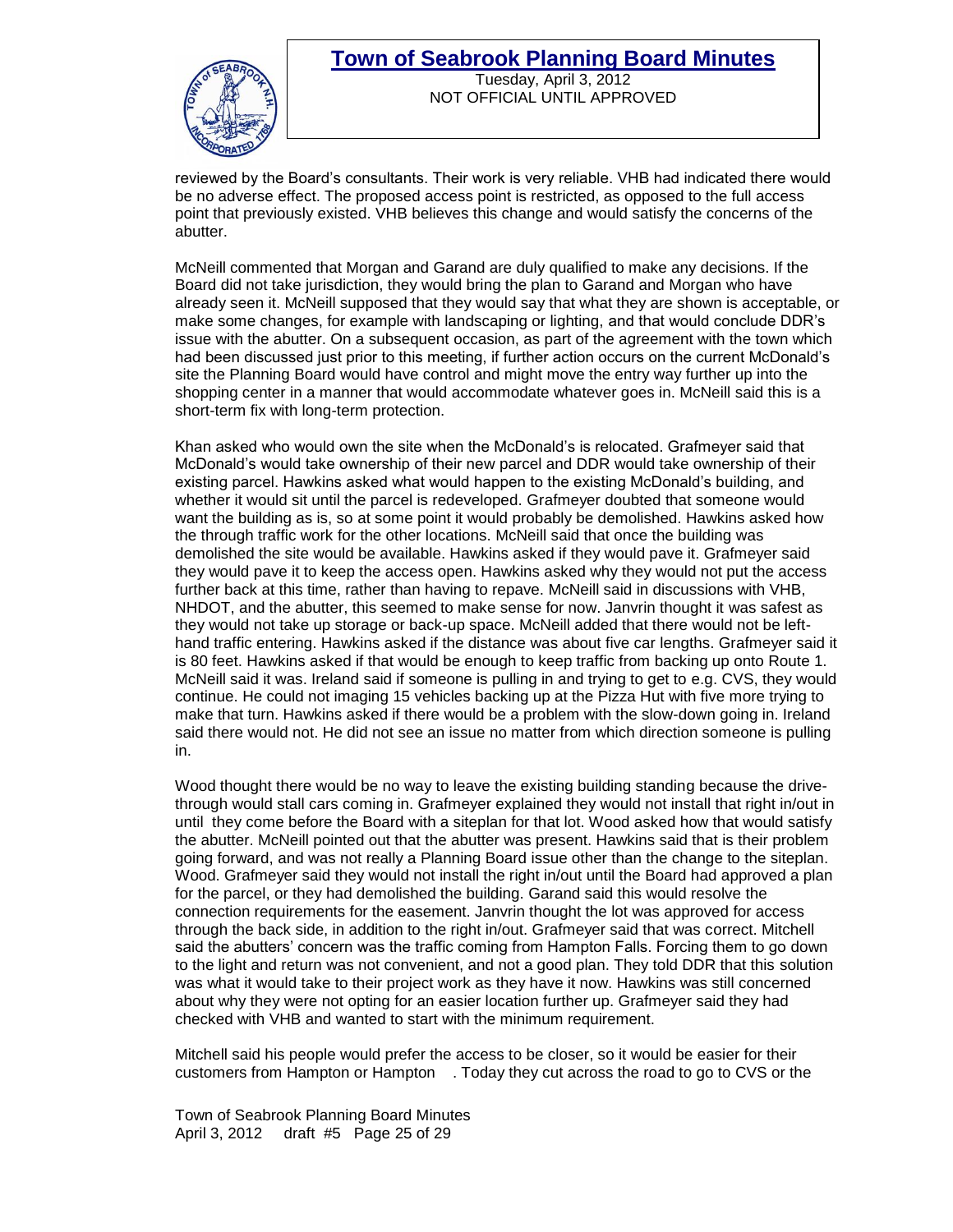

#### **Town of Seabrook Planning Board Minutes** Tuesday, April 3, 2012

NOT OFFICIAL UNTIL APPROVED

reviewed by the Board's consultants. Their work is very reliable. VHB had indicated there would be no adverse effect. The proposed access point is restricted, as opposed to the full access point that previously existed. VHB believes this change and would satisfy the concerns of the abutter.

McNeill commented that Morgan and Garand are duly qualified to make any decisions. If the Board did not take jurisdiction, they would bring the plan to Garand and Morgan who have already seen it. McNeill supposed that they would say that what they are shown is acceptable, or make some changes, for example with landscaping or lighting, and that would conclude DDR's issue with the abutter. On a subsequent occasion, as part of the agreement with the town which had been discussed just prior to this meeting, if further action occurs on the current McDonald's site the Planning Board would have control and might move the entry way further up into the shopping center in a manner that would accommodate whatever goes in. McNeill said this is a short-term fix with long-term protection.

Khan asked who would own the site when the McDonald's is relocated. Grafmeyer said that McDonald's would take ownership of their new parcel and DDR would take ownership of their existing parcel. Hawkins asked what would happen to the existing McDonald's building, and whether it would sit until the parcel is redeveloped. Grafmeyer doubted that someone would want the building as is, so at some point it would probably be demolished. Hawkins asked how the through traffic work for the other locations. McNeill said that once the building was demolished the site would be available. Hawkins asked if they would pave it. Grafmeyer said they would pave it to keep the access open. Hawkins asked why they would not put the access further back at this time, rather than having to repave. McNeill said in discussions with VHB, NHDOT, and the abutter, this seemed to make sense for now. Janvrin thought it was safest as they would not take up storage or back-up space. McNeill added that there would not be lefthand traffic entering. Hawkins asked if the distance was about five car lengths. Grafmeyer said it is 80 feet. Hawkins asked if that would be enough to keep traffic from backing up onto Route 1. McNeill said it was. Ireland said if someone is pulling in and trying to get to e.g. CVS, they would continue. He could not imaging 15 vehicles backing up at the Pizza Hut with five more trying to make that turn. Hawkins asked if there would be a problem with the slow-down going in. Ireland said there would not. He did not see an issue no matter from which direction someone is pulling in.

Wood thought there would be no way to leave the existing building standing because the drivethrough would stall cars coming in. Grafmeyer explained they would not install that right in/out in until they come before the Board with a siteplan for that lot. Wood asked how that would satisfy the abutter. McNeill pointed out that the abutter was present. Hawkins said that is their problem going forward, and was not really a Planning Board issue other than the change to the siteplan. Wood. Grafmeyer said they would not install the right in/out until the Board had approved a plan for the parcel, or they had demolished the building. Garand said this would resolve the connection requirements for the easement. Janvrin thought the lot was approved for access through the back side, in addition to the right in/out. Grafmeyer said that was correct. Mitchell said the abutters' concern was the traffic coming from Hampton Falls. Forcing them to go down to the light and return was not convenient, and not a good plan. They told DDR that this solution was what it would take to their project work as they have it now. Hawkins was still concerned about why they were not opting for an easier location further up. Grafmeyer said they had checked with VHB and wanted to start with the minimum requirement.

Mitchell said his people would prefer the access to be closer, so it would be easier for their customers from Hampton or Hampton . Today they cut across the road to go to CVS or the

Town of Seabrook Planning Board Minutes April 3, 2012 draft #5 Page 25 of 29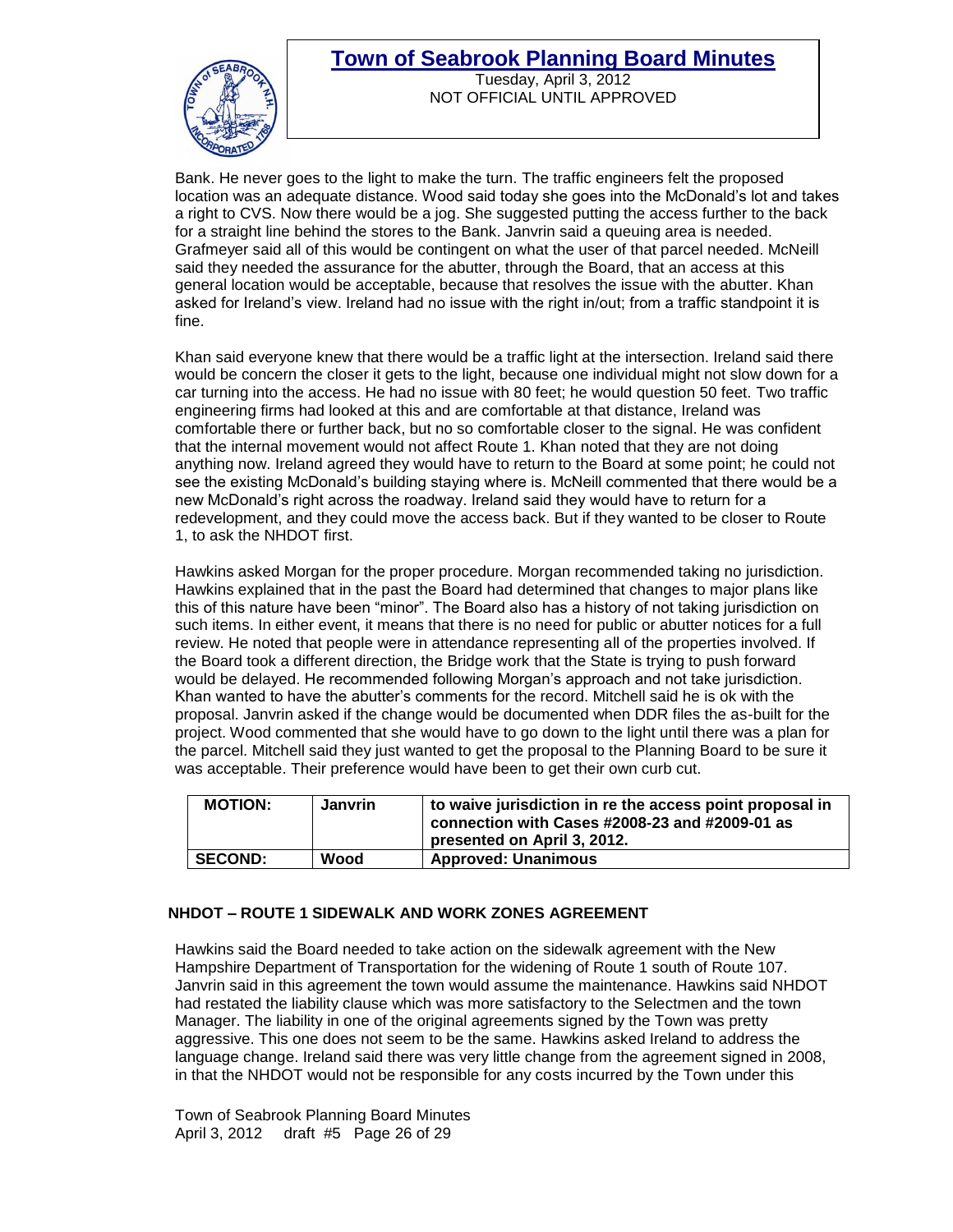

Tuesday, April 3, 2012 NOT OFFICIAL UNTIL APPROVED

Bank. He never goes to the light to make the turn. The traffic engineers felt the proposed location was an adequate distance. Wood said today she goes into the McDonald's lot and takes a right to CVS. Now there would be a jog. She suggested putting the access further to the back for a straight line behind the stores to the Bank. Janvrin said a queuing area is needed. Grafmeyer said all of this would be contingent on what the user of that parcel needed. McNeill said they needed the assurance for the abutter, through the Board, that an access at this general location would be acceptable, because that resolves the issue with the abutter. Khan asked for Ireland's view. Ireland had no issue with the right in/out; from a traffic standpoint it is fine.

Khan said everyone knew that there would be a traffic light at the intersection. Ireland said there would be concern the closer it gets to the light, because one individual might not slow down for a car turning into the access. He had no issue with 80 feet; he would question 50 feet. Two traffic engineering firms had looked at this and are comfortable at that distance, Ireland was comfortable there or further back, but no so comfortable closer to the signal. He was confident that the internal movement would not affect Route 1. Khan noted that they are not doing anything now. Ireland agreed they would have to return to the Board at some point; he could not see the existing McDonald's building staying where is. McNeill commented that there would be a new McDonald's right across the roadway. Ireland said they would have to return for a redevelopment, and they could move the access back. But if they wanted to be closer to Route 1, to ask the NHDOT first.

Hawkins asked Morgan for the proper procedure. Morgan recommended taking no jurisdiction. Hawkins explained that in the past the Board had determined that changes to major plans like this of this nature have been "minor". The Board also has a history of not taking jurisdiction on such items. In either event, it means that there is no need for public or abutter notices for a full review. He noted that people were in attendance representing all of the properties involved. If the Board took a different direction, the Bridge work that the State is trying to push forward would be delayed. He recommended following Morgan's approach and not take jurisdiction. Khan wanted to have the abutter's comments for the record. Mitchell said he is ok with the proposal. Janvrin asked if the change would be documented when DDR files the as-built for the project. Wood commented that she would have to go down to the light until there was a plan for the parcel. Mitchell said they just wanted to get the proposal to the Planning Board to be sure it was acceptable. Their preference would have been to get their own curb cut.

| <b>MOTION:</b> | <b>Janvrin</b> | to waive jurisdiction in re the access point proposal in<br>connection with Cases #2008-23 and #2009-01 as<br>presented on April 3, 2012. |
|----------------|----------------|-------------------------------------------------------------------------------------------------------------------------------------------|
| <b>SECOND:</b> | Wood           | <b>Approved: Unanimous</b>                                                                                                                |

#### **NHDOT – ROUTE 1 SIDEWALK AND WORK ZONES AGREEMENT**

Hawkins said the Board needed to take action on the sidewalk agreement with the New Hampshire Department of Transportation for the widening of Route 1 south of Route 107. Janvrin said in this agreement the town would assume the maintenance. Hawkins said NHDOT had restated the liability clause which was more satisfactory to the Selectmen and the town Manager. The liability in one of the original agreements signed by the Town was pretty aggressive. This one does not seem to be the same. Hawkins asked Ireland to address the language change. Ireland said there was very little change from the agreement signed in 2008, in that the NHDOT would not be responsible for any costs incurred by the Town under this

Town of Seabrook Planning Board Minutes April 3, 2012 draft #5 Page 26 of 29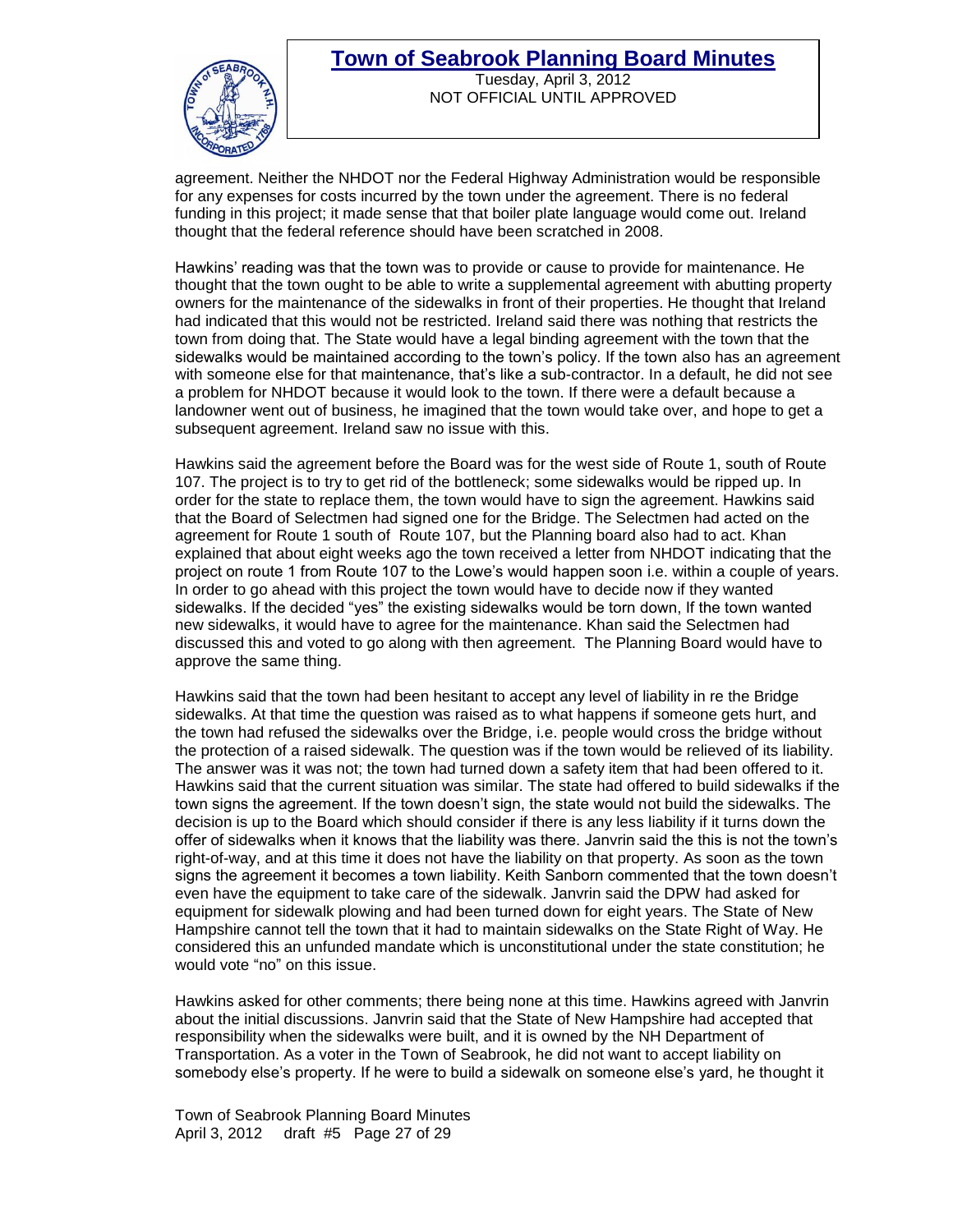

Tuesday, April 3, 2012 NOT OFFICIAL UNTIL APPROVED

agreement. Neither the NHDOT nor the Federal Highway Administration would be responsible for any expenses for costs incurred by the town under the agreement. There is no federal funding in this project; it made sense that that boiler plate language would come out. Ireland thought that the federal reference should have been scratched in 2008.

Hawkins' reading was that the town was to provide or cause to provide for maintenance. He thought that the town ought to be able to write a supplemental agreement with abutting property owners for the maintenance of the sidewalks in front of their properties. He thought that Ireland had indicated that this would not be restricted. Ireland said there was nothing that restricts the town from doing that. The State would have a legal binding agreement with the town that the sidewalks would be maintained according to the town's policy. If the town also has an agreement with someone else for that maintenance, that's like a sub-contractor. In a default, he did not see a problem for NHDOT because it would look to the town. If there were a default because a landowner went out of business, he imagined that the town would take over, and hope to get a subsequent agreement. Ireland saw no issue with this.

Hawkins said the agreement before the Board was for the west side of Route 1, south of Route 107. The project is to try to get rid of the bottleneck; some sidewalks would be ripped up. In order for the state to replace them, the town would have to sign the agreement. Hawkins said that the Board of Selectmen had signed one for the Bridge. The Selectmen had acted on the agreement for Route 1 south of Route 107, but the Planning board also had to act. Khan explained that about eight weeks ago the town received a letter from NHDOT indicating that the project on route 1 from Route 107 to the Lowe's would happen soon i.e. within a couple of years. In order to go ahead with this project the town would have to decide now if they wanted sidewalks. If the decided "yes" the existing sidewalks would be torn down, If the town wanted new sidewalks, it would have to agree for the maintenance. Khan said the Selectmen had discussed this and voted to go along with then agreement. The Planning Board would have to approve the same thing.

Hawkins said that the town had been hesitant to accept any level of liability in re the Bridge sidewalks. At that time the question was raised as to what happens if someone gets hurt, and the town had refused the sidewalks over the Bridge, i.e. people would cross the bridge without the protection of a raised sidewalk. The question was if the town would be relieved of its liability. The answer was it was not; the town had turned down a safety item that had been offered to it. Hawkins said that the current situation was similar. The state had offered to build sidewalks if the town signs the agreement. If the town doesn't sign, the state would not build the sidewalks. The decision is up to the Board which should consider if there is any less liability if it turns down the offer of sidewalks when it knows that the liability was there. Janvrin said the this is not the town's right-of-way, and at this time it does not have the liability on that property. As soon as the town signs the agreement it becomes a town liability. Keith Sanborn commented that the town doesn't even have the equipment to take care of the sidewalk. Janvrin said the DPW had asked for equipment for sidewalk plowing and had been turned down for eight years. The State of New Hampshire cannot tell the town that it had to maintain sidewalks on the State Right of Way. He considered this an unfunded mandate which is unconstitutional under the state constitution; he would vote "no" on this issue.

Hawkins asked for other comments; there being none at this time. Hawkins agreed with Janvrin about the initial discussions. Janvrin said that the State of New Hampshire had accepted that responsibility when the sidewalks were built, and it is owned by the NH Department of Transportation. As a voter in the Town of Seabrook, he did not want to accept liability on somebody else's property. If he were to build a sidewalk on someone else's yard, he thought it

Town of Seabrook Planning Board Minutes April 3, 2012 draft #5 Page 27 of 29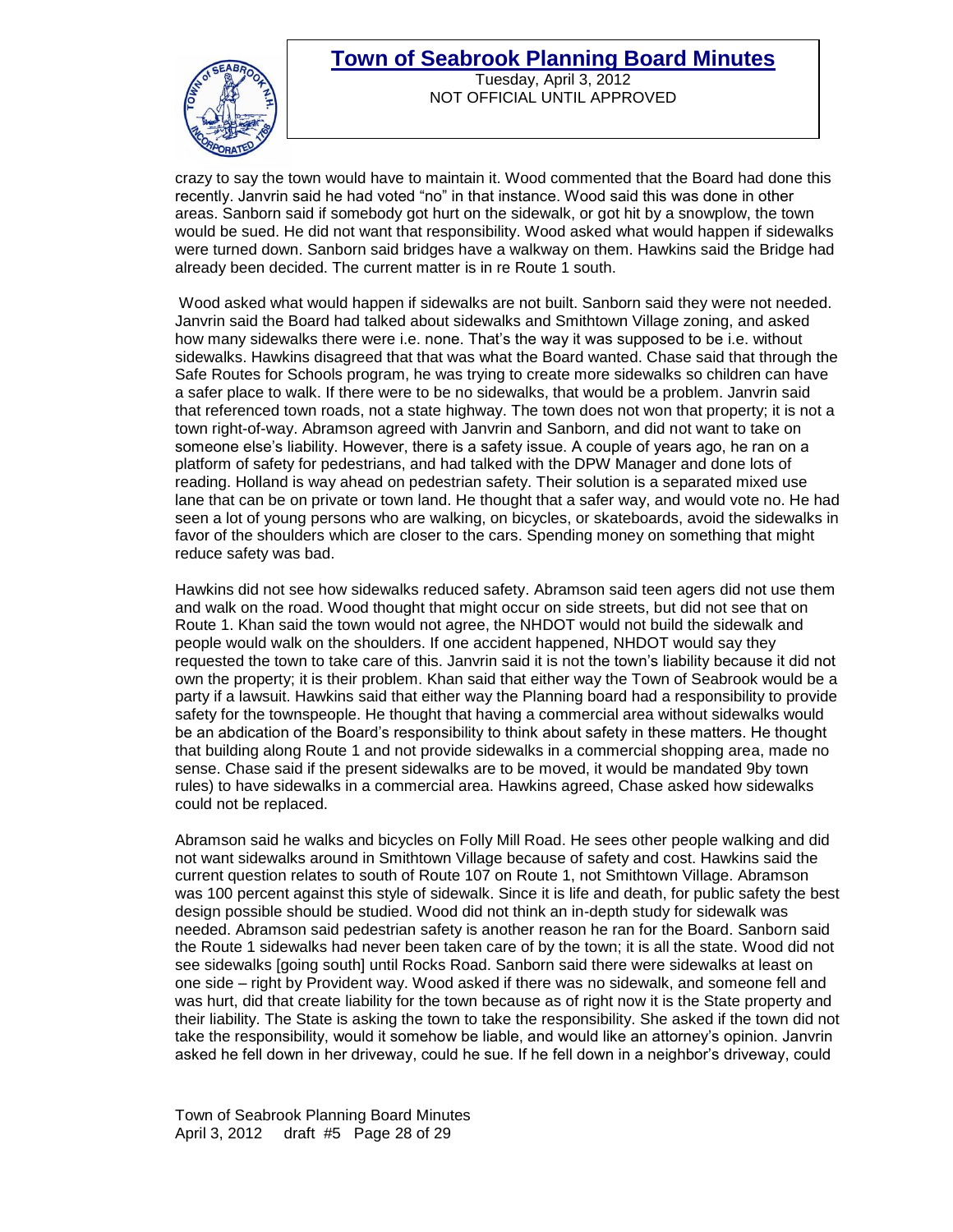

Tuesday, April 3, 2012 NOT OFFICIAL UNTIL APPROVED

crazy to say the town would have to maintain it. Wood commented that the Board had done this recently. Janvrin said he had voted "no" in that instance. Wood said this was done in other areas. Sanborn said if somebody got hurt on the sidewalk, or got hit by a snowplow, the town would be sued. He did not want that responsibility. Wood asked what would happen if sidewalks were turned down. Sanborn said bridges have a walkway on them. Hawkins said the Bridge had already been decided. The current matter is in re Route 1 south.

Wood asked what would happen if sidewalks are not built. Sanborn said they were not needed. Janvrin said the Board had talked about sidewalks and Smithtown Village zoning, and asked how many sidewalks there were i.e. none. That's the way it was supposed to be i.e. without sidewalks. Hawkins disagreed that that was what the Board wanted. Chase said that through the Safe Routes for Schools program, he was trying to create more sidewalks so children can have a safer place to walk. If there were to be no sidewalks, that would be a problem. Janvrin said that referenced town roads, not a state highway. The town does not won that property; it is not a town right-of-way. Abramson agreed with Janvrin and Sanborn, and did not want to take on someone else's liability. However, there is a safety issue. A couple of years ago, he ran on a platform of safety for pedestrians, and had talked with the DPW Manager and done lots of reading. Holland is way ahead on pedestrian safety. Their solution is a separated mixed use lane that can be on private or town land. He thought that a safer way, and would vote no. He had seen a lot of young persons who are walking, on bicycles, or skateboards, avoid the sidewalks in favor of the shoulders which are closer to the cars. Spending money on something that might reduce safety was bad.

Hawkins did not see how sidewalks reduced safety. Abramson said teen agers did not use them and walk on the road. Wood thought that might occur on side streets, but did not see that on Route 1. Khan said the town would not agree, the NHDOT would not build the sidewalk and people would walk on the shoulders. If one accident happened, NHDOT would say they requested the town to take care of this. Janvrin said it is not the town's liability because it did not own the property; it is their problem. Khan said that either way the Town of Seabrook would be a party if a lawsuit. Hawkins said that either way the Planning board had a responsibility to provide safety for the townspeople. He thought that having a commercial area without sidewalks would be an abdication of the Board's responsibility to think about safety in these matters. He thought that building along Route 1 and not provide sidewalks in a commercial shopping area, made no sense. Chase said if the present sidewalks are to be moved, it would be mandated 9by town rules) to have sidewalks in a commercial area. Hawkins agreed, Chase asked how sidewalks could not be replaced.

Abramson said he walks and bicycles on Folly Mill Road. He sees other people walking and did not want sidewalks around in Smithtown Village because of safety and cost. Hawkins said the current question relates to south of Route 107 on Route 1, not Smithtown Village. Abramson was 100 percent against this style of sidewalk. Since it is life and death, for public safety the best design possible should be studied. Wood did not think an in-depth study for sidewalk was needed. Abramson said pedestrian safety is another reason he ran for the Board. Sanborn said the Route 1 sidewalks had never been taken care of by the town; it is all the state. Wood did not see sidewalks [going south] until Rocks Road. Sanborn said there were sidewalks at least on one side – right by Provident way. Wood asked if there was no sidewalk, and someone fell and was hurt, did that create liability for the town because as of right now it is the State property and their liability. The State is asking the town to take the responsibility. She asked if the town did not take the responsibility, would it somehow be liable, and would like an attorney's opinion. Janvrin asked he fell down in her driveway, could he sue. If he fell down in a neighbor's driveway, could